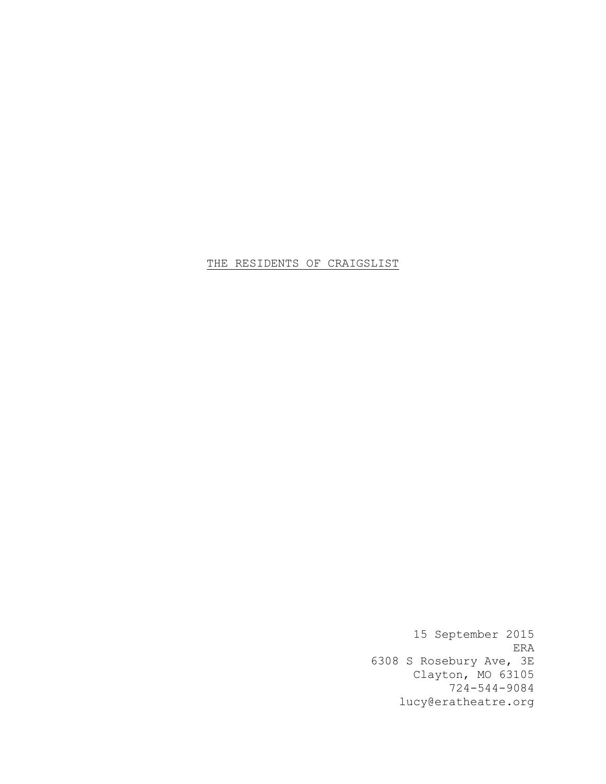# THE RESIDENTS OF CRAIGSLIST

15 September 2015 ERA 6308 S Rosebury Ave, 3E Clayton, MO 63105 724-544-9084 lucy@eratheatre.org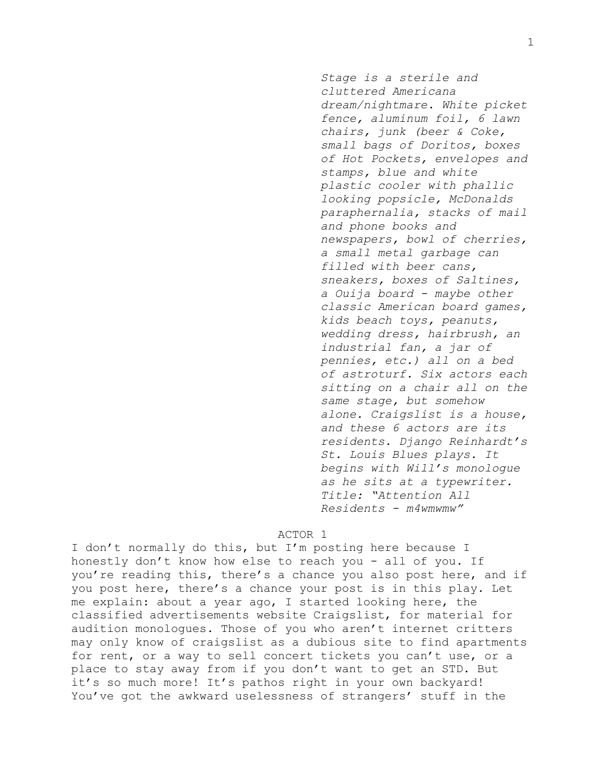*Stage is a sterile and cluttered Americana dream/nightmare. White picket fence, aluminum foil, 6 lawn chairs, junk (beer & Coke, small bags of Doritos, boxes of Hot Pockets, envelopes and stamps, blue and white plastic cooler with phallic looking popsicle, McDonalds paraphernalia, stacks of mail and phone books and newspapers, bowl of cherries, a small metal garbage can filled with beer cans, sneakers, boxes of Saltines, a Ouija board - maybe other classic American board games, kids beach toys, peanuts, wedding dress, hairbrush, an industrial fan, a jar of pennies, etc.) all on a bed of astroturf. Six actors each sitting on a chair all on the same stage, but somehow alone. Craigslist is a house, and these 6 actors are its residents. Django Reinhardt's St. Louis Blues plays. It begins with Will's monologue as he sits at a typewriter. Title: "Attention All Residents - m4wmwmw"*

## ACTOR 1

I don't normally do this, but I'm posting here because I honestly don't know how else to reach you - all of you. If you're reading this, there's a chance you also post here, and if you post here, there's a chance your post is in this play. Let me explain: about a year ago, I started looking here, the classified advertisements website Craigslist, for material for audition monologues. Those of you who aren't internet critters may only know of craigslist as a dubious site to find apartments for rent, or a way to sell concert tickets you can't use, or a place to stay away from if you don't want to get an STD. But it's so much more! It's pathos right in your own backyard! You've got the awkward uselessness of strangers' stuff in the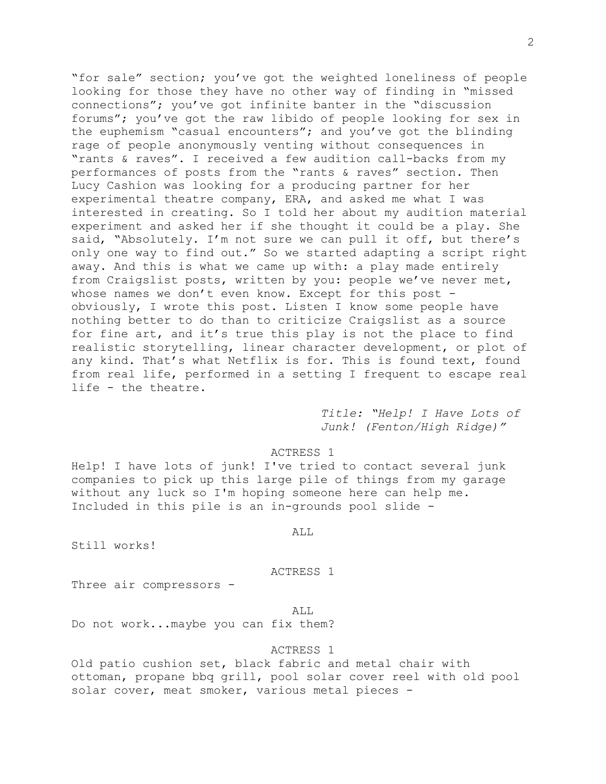"for sale" section; you've got the weighted loneliness of people looking for those they have no other way of finding in "missed connections"; you've got infinite banter in the "discussion forums"; you've got the raw libido of people looking for sex in the euphemism "casual encounters"; and you've got the blinding rage of people anonymously venting without consequences in "rants & raves". I received a few audition call-backs from my performances of posts from the "rants & raves" section. Then Lucy Cashion was looking for a producing partner for her experimental theatre company, ERA, and asked me what I was interested in creating. So I told her about my audition material experiment and asked her if she thought it could be a play. She said, "Absolutely. I'm not sure we can pull it off, but there's only one way to find out." So we started adapting a script right away. And this is what we came up with: a play made entirely from Craigslist posts, written by you: people we've never met, whose names we don't even know. Except for this post obviously, I wrote this post. Listen I know some people have nothing better to do than to criticize Craigslist as a source for fine art, and it's true this play is not the place to find realistic storytelling, linear character development, or plot of any kind. That's what Netflix is for. This is found text, found from real life, performed in a setting I frequent to escape real life - the theatre.

> *Title: "Help! I Have Lots of Junk! (Fenton/High Ridge)"*

### ACTRESS 1

Help! I have lots of junk! I've tried to contact several junk companies to pick up this large pile of things from my garage without any luck so I'm hoping someone here can help me. Included in this pile is an in-grounds pool slide -

ALL

Still works!

### ACTRESS 1

Three air compressors -

ALL

Do not work...maybe you can fix them?

## ACTRESS 1

Old patio cushion set, black fabric and metal chair with ottoman, propane bbq grill, pool solar cover reel with old pool solar cover, meat smoker, various metal pieces -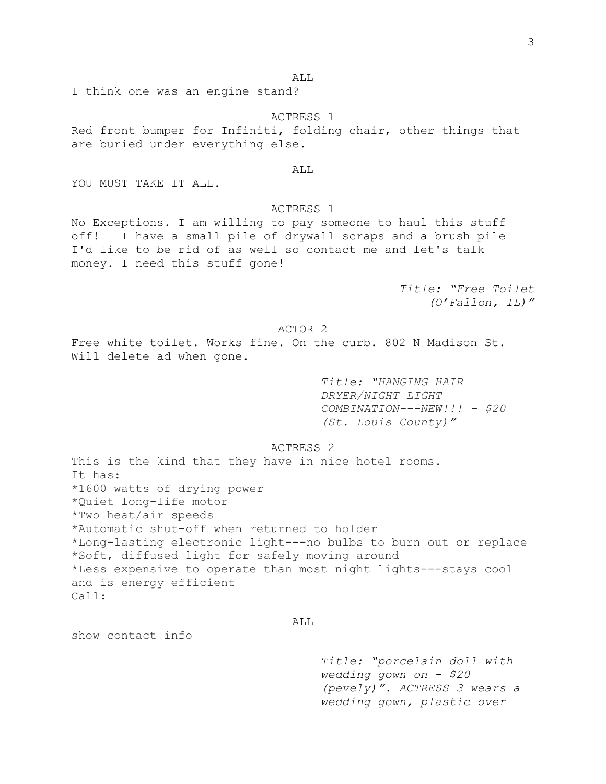ALL

I think one was an engine stand?

ACTRESS 1

Red front bumper for Infiniti, folding chair, other things that are buried under everything else.

ALL

YOU MUST TAKE IT ALL.

### ACTRESS 1

No Exceptions. I am willing to pay someone to haul this stuff off! – I have a small pile of drywall scraps and a brush pile I'd like to be rid of as well so contact me and let's talk money. I need this stuff gone!

> *Title: "Free Toilet (O'Fallon, IL)"*

## ACTOR 2

Free white toilet. Works fine. On the curb. 802 N Madison St. Will delete ad when gone.

> *Title: "HANGING HAIR DRYER/NIGHT LIGHT COMBINATION---NEW!!! - \$20 (St. Louis County)"*

## ACTRESS 2

This is the kind that they have in nice hotel rooms. It has: \*1600 watts of drying power \*Quiet long-life motor \*Two heat/air speeds \*Automatic shut-off when returned to holder \*Long-lasting electronic light---no bulbs to burn out or replace \*Soft, diffused light for safely moving around \*Less expensive to operate than most night lights---stays cool and is energy efficient Call:

ALL

show contact info

*Title: "porcelain doll with wedding gown on - \$20 (pevely)". ACTRESS 3 wears a wedding gown, plastic over*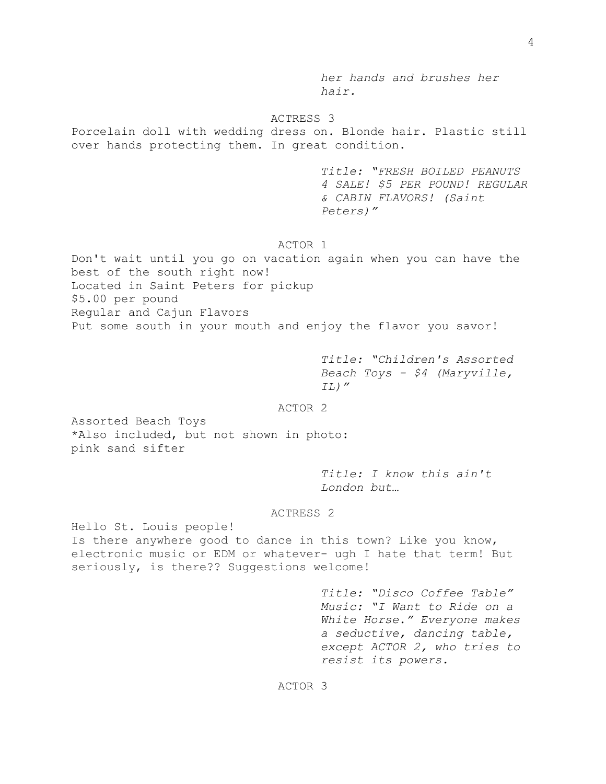*her hands and brushes her hair.*

#### ACTRESS 3

Porcelain doll with wedding dress on. Blonde hair. Plastic still over hands protecting them. In great condition.

> *Title: "FRESH BOILED PEANUTS 4 SALE! \$5 PER POUND! REGULAR & CABIN FLAVORS! (Saint Peters)"*

## ACTOR 1

Don't wait until you go on vacation again when you can have the best of the south right now! Located in Saint Peters for pickup \$5.00 per pound Regular and Cajun Flavors Put some south in your mouth and enjoy the flavor you savor!

> *Title: "Children's Assorted Beach Toys - \$4 (Maryville, IL)"*

## ACTOR 2

Assorted Beach Toys \*Also included, but not shown in photo: pink sand sifter

> *Title: I know this ain't London but…*

#### ACTRESS 2

Hello St. Louis people! Is there anywhere good to dance in this town? Like you know, electronic music or EDM or whatever- ugh I hate that term! But seriously, is there?? Suggestions welcome!

> *Title: "Disco Coffee Table" Music: "I Want to Ride on a White Horse." Everyone makes a seductive, dancing table, except ACTOR 2, who tries to resist its powers.*

ACTOR 3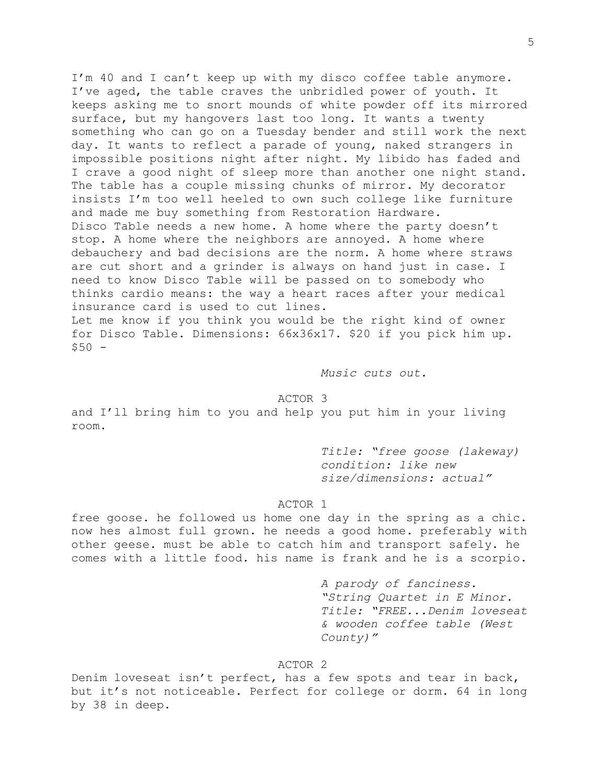I'm 40 and I can't keep up with my disco coffee table anymore. I've aged, the table craves the unbridled power of youth. It keeps asking me to snort mounds of white powder off its mirrored surface, but my hangovers last too long. It wants a twenty something who can go on a Tuesday bender and still work the next day. It wants to reflect a parade of young, naked strangers in impossible positions night after night. My libido has faded and I crave a good night of sleep more than another one night stand. The table has a couple missing chunks of mirror. My decorator insists I'm too well heeled to own such college like furniture and made me buy something from Restoration Hardware. Disco Table needs a new home. A home where the party doesn't stop. A home where the neighbors are annoyed. A home where debauchery and bad decisions are the norm. A home where straws are cut short and a grinder is always on hand just in case. I need to know Disco Table will be passed on to somebody who thinks cardio means: the way a heart races after your medical insurance card is used to cut lines. Let me know if you think you would be the right kind of owner

for Disco Table. Dimensions: 66x36x17. \$20 if you pick him up.  $$50 -$ 

*Music cuts out.*

## ACTOR 3

and I'll bring him to you and help you put him in your living room.

> *Title: "free goose (lakeway) condition: like new size/dimensions: actual"*

#### ACTOR 1

free goose. he followed us home one day in the spring as a chic. now hes almost full grown. he needs a good home. preferably with other geese. must be able to catch him and transport safely. he comes with a little food. his name is frank and he is a scorpio.

> *A parody of fanciness. "String Quartet in E Minor. Title: "FREE...Denim loveseat & wooden coffee table (West County)"*

# ACTOR 2

Denim loveseat isn't perfect, has a few spots and tear in back, but it's not noticeable. Perfect for college or dorm. 64 in long by 38 in deep.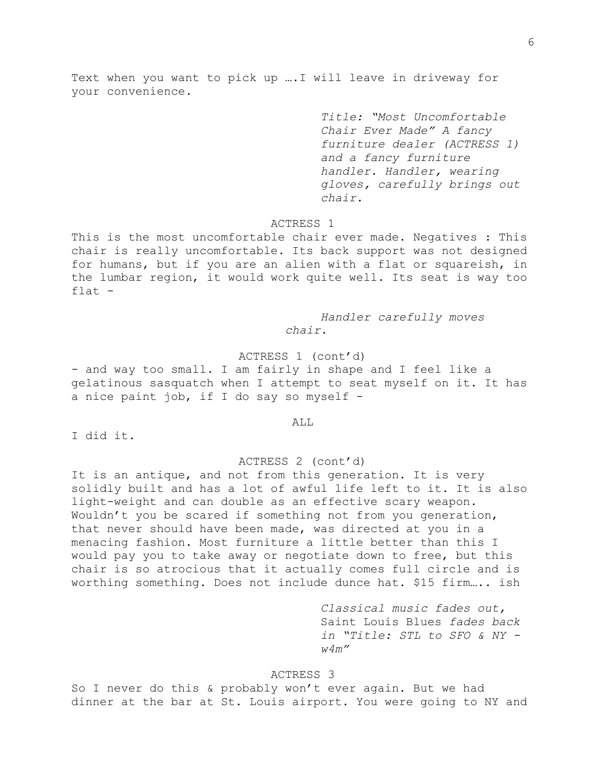Text when you want to pick up ….I will leave in driveway for your convenience.

> *Title: "Most Uncomfortable Chair Ever Made" A fancy furniture dealer (ACTRESS 1) and a fancy furniture handler. Handler, wearing gloves, carefully brings out chair.*

## ACTRESS 1

This is the most uncomfortable chair ever made. Negatives : This chair is really uncomfortable. Its back support was not designed for humans, but if you are an alien with a flat or squareish, in the lumbar region, it would work quite well. Its seat is way too flat -

> *Handler carefully moves chair.*

ACTRESS 1 (cont'd)

- and way too small. I am fairly in shape and I feel like a gelatinous sasquatch when I attempt to seat myself on it. It has a nice paint job, if I do say so myself -

ALL

I did it.

#### ACTRESS 2 (cont'd)

It is an antique, and not from this generation. It is very solidly built and has a lot of awful life left to it. It is also light-weight and can double as an effective scary weapon. Wouldn't you be scared if something not from you generation, that never should have been made, was directed at you in a menacing fashion. Most furniture a little better than this I would pay you to take away or negotiate down to free, but this chair is so atrocious that it actually comes full circle and is worthing something. Does not include dunce hat. \$15 firm….. ish

> *Classical music fades out,*  Saint Louis Blues *fades back in "Title: STL to SFO & NY w4m"*

### ACTRESS 3

So I never do this & probably won't ever again. But we had dinner at the bar at St. Louis airport. You were going to NY and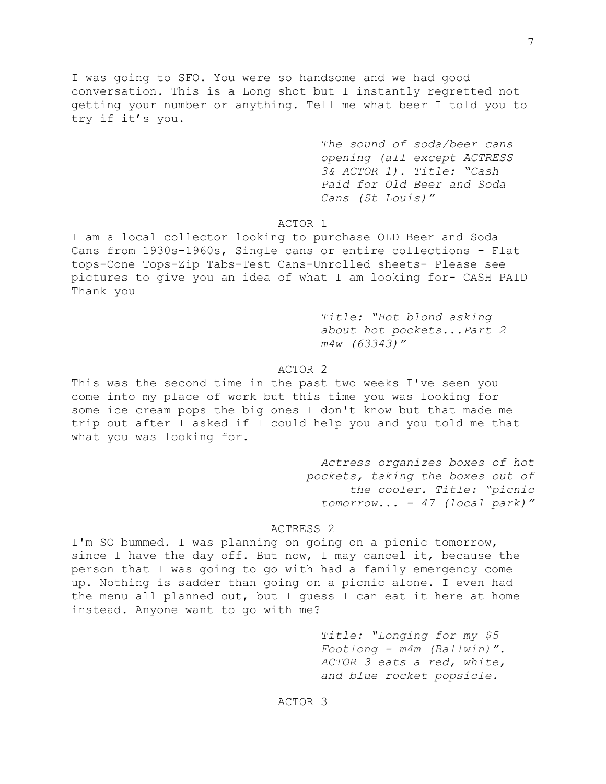I was going to SFO. You were so handsome and we had good conversation. This is a Long shot but I instantly regretted not getting your number or anything. Tell me what beer I told you to try if it's you.

> *The sound of soda/beer cans opening (all except ACTRESS 3& ACTOR 1). Title: "Cash Paid for Old Beer and Soda Cans (St Louis)"*

## ACTOR 1

I am a local collector looking to purchase OLD Beer and Soda Cans from 1930s-1960s, Single cans or entire collections - Flat tops-Cone Tops-Zip Tabs-Test Cans-Unrolled sheets- Please see pictures to give you an idea of what I am looking for- CASH PAID Thank you

> *Title: "Hot blond asking about hot pockets...Part 2 – m4w (63343)"*

## ACTOR 2

This was the second time in the past two weeks I've seen you come into my place of work but this time you was looking for some ice cream pops the big ones I don't know but that made me trip out after I asked if I could help you and you told me that what you was looking for.

> *Actress organizes boxes of hot pockets, taking the boxes out of the cooler. Title: "picnic tomorrow... - 47 (local park)"*

# ACTRESS 2

I'm SO bummed. I was planning on going on a picnic tomorrow, since I have the day off. But now, I may cancel it, because the person that I was going to go with had a family emergency come up. Nothing is sadder than going on a picnic alone. I even had the menu all planned out, but I guess I can eat it here at home instead. Anyone want to go with me?

> *Title: "Longing for my \$5 Footlong - m4m (Ballwin)". ACTOR 3 eats a red, white, and blue rocket popsicle.*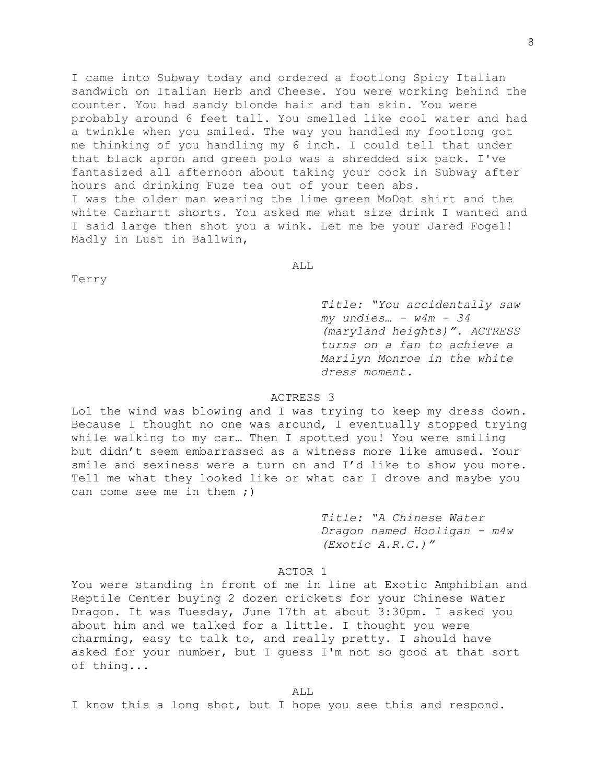I came into Subway today and ordered a footlong Spicy Italian sandwich on Italian Herb and Cheese. You were working behind the counter. You had sandy blonde hair and tan skin. You were probably around 6 feet tall. You smelled like cool water and had a twinkle when you smiled. The way you handled my footlong got me thinking of you handling my 6 inch. I could tell that under that black apron and green polo was a shredded six pack. I've fantasized all afternoon about taking your cock in Subway after hours and drinking Fuze tea out of your teen abs. I was the older man wearing the lime green MoDot shirt and the white Carhartt shorts. You asked me what size drink I wanted and I said large then shot you a wink. Let me be your Jared Fogel! Madly in Lust in Ballwin,

ALL

Terry

*Title: "You accidentally saw my undies… - w4m - 34 (maryland heights)". ACTRESS turns on a fan to achieve a Marilyn Monroe in the white dress moment.*

## ACTRESS 3

Lol the wind was blowing and I was trying to keep my dress down. Because I thought no one was around, I eventually stopped trying while walking to my car… Then I spotted you! You were smiling but didn't seem embarrassed as a witness more like amused. Your smile and sexiness were a turn on and I'd like to show you more. Tell me what they looked like or what car I drove and maybe you can come see me in them ;)

> *Title: "A Chinese Water Dragon named Hooligan - m4w (Exotic A.R.C.)"*

## ACTOR 1

You were standing in front of me in line at Exotic Amphibian and Reptile Center buying 2 dozen crickets for your Chinese Water Dragon. It was Tuesday, June 17th at about 3:30pm. I asked you about him and we talked for a little. I thought you were charming, easy to talk to, and really pretty. I should have asked for your number, but I guess I'm not so good at that sort of thing...

ALL

I know this a long shot, but I hope you see this and respond.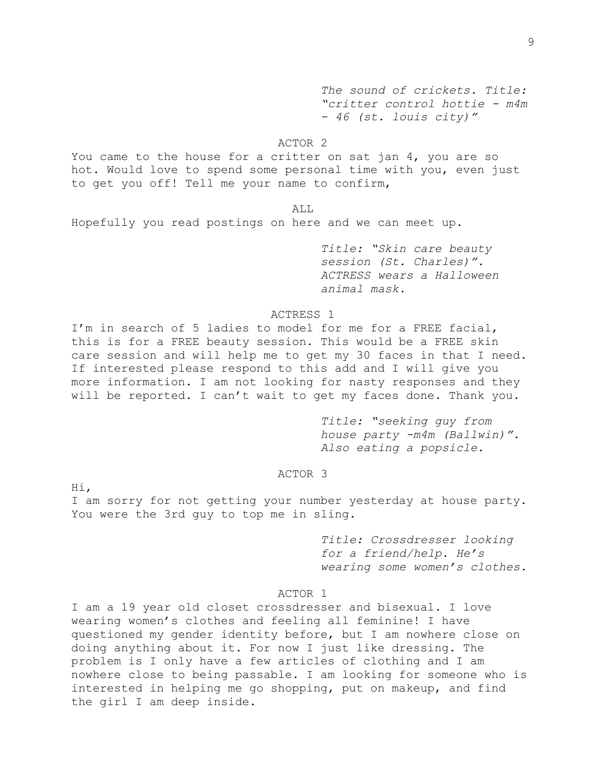*The sound of crickets. Title: "critter control hottie - m4m - 46 (st. louis city)"*

# ACTOR 2

You came to the house for a critter on sat jan 4, you are so hot. Would love to spend some personal time with you, even just to get you off! Tell me your name to confirm,

ALL

Hopefully you read postings on here and we can meet up.

*Title: "Skin care beauty session (St. Charles)". ACTRESS wears a Halloween animal mask.*

### ACTRESS 1

I'm in search of 5 ladies to model for me for a FREE facial, this is for a FREE beauty session. This would be a FREE skin care session and will help me to get my 30 faces in that I need. If interested please respond to this add and I will give you more information. I am not looking for nasty responses and they will be reported. I can't wait to get my faces done. Thank you.

> *Title: "seeking guy from house party -m4m (Ballwin)". Also eating a popsicle.*

# ACTOR 3

Hi,

I am sorry for not getting your number yesterday at house party. You were the 3rd guy to top me in sling.

> *Title: Crossdresser looking for a friend/help. He's wearing some women's clothes.*

# ACTOR 1

I am a 19 year old closet crossdresser and bisexual. I love wearing women's clothes and feeling all feminine! I have questioned my gender identity before, but I am nowhere close on doing anything about it. For now I just like dressing. The problem is I only have a few articles of clothing and I am nowhere close to being passable. I am looking for someone who is interested in helping me go shopping, put on makeup, and find the girl I am deep inside.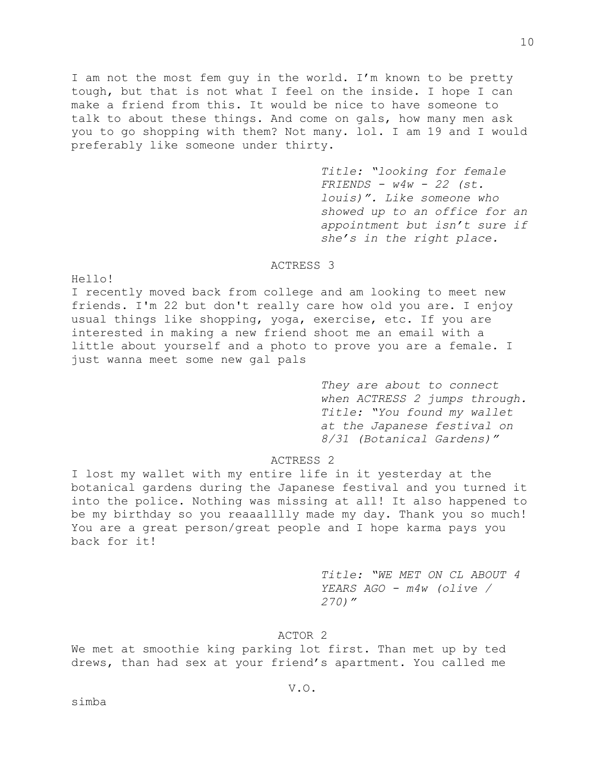I am not the most fem guy in the world. I'm known to be pretty tough, but that is not what I feel on the inside. I hope I can make a friend from this. It would be nice to have someone to talk to about these things. And come on gals, how many men ask you to go shopping with them? Not many. lol. I am 19 and I would preferably like someone under thirty.

> *Title: "looking for female FRIENDS - w4w - 22 (st. louis)". Like someone who showed up to an office for an appointment but isn't sure if she's in the right place.*

### ACTRESS 3

Hello!

I recently moved back from college and am looking to meet new friends. I'm 22 but don't really care how old you are. I enjoy usual things like shopping, yoga, exercise, etc. If you are interested in making a new friend shoot me an email with a little about yourself and a photo to prove you are a female. I just wanna meet some new gal pals

> *They are about to connect when ACTRESS 2 jumps through. Title: "You found my wallet at the Japanese festival on 8/31 (Botanical Gardens)"*

## ACTRESS 2

I lost my wallet with my entire life in it yesterday at the botanical gardens during the Japanese festival and you turned it into the police. Nothing was missing at all! It also happened to be my birthday so you reaaalllly made my day. Thank you so much! You are a great person/great people and I hope karma pays you back for it!

> *Title: "WE MET ON CL ABOUT 4 YEARS AGO - m4w (olive / 270)"*

ACTOR 2

We met at smoothie king parking lot first. Than met up by ted drews, than had sex at your friend's apartment. You called me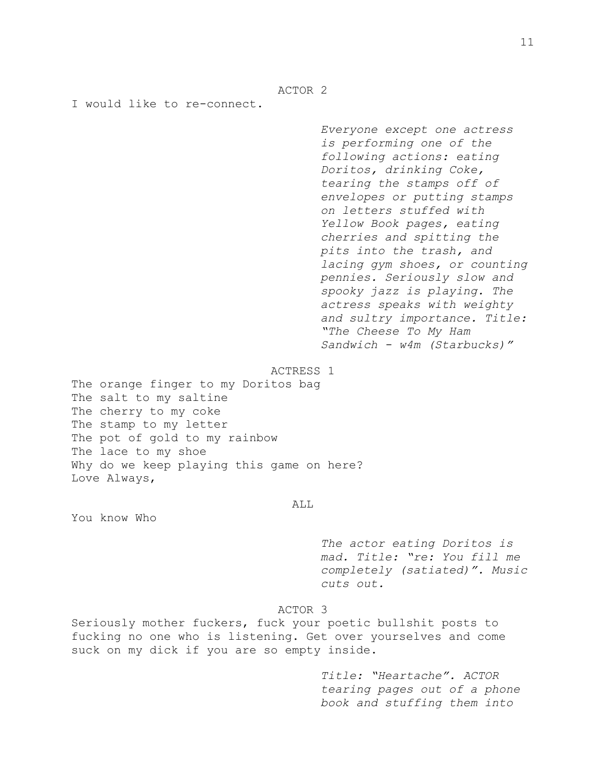ACTOR 2

I would like to re-connect.

*Everyone except one actress is performing one of the following actions: eating Doritos, drinking Coke, tearing the stamps off of envelopes or putting stamps on letters stuffed with Yellow Book pages, eating cherries and spitting the pits into the trash, and lacing gym shoes, or counting pennies. Seriously slow and spooky jazz is playing. The actress speaks with weighty and sultry importance. Title: "The Cheese To My Ham Sandwich - w4m (Starbucks)"*

ACTRESS 1

The orange finger to my Doritos bag The salt to my saltine The cherry to my coke The stamp to my letter The pot of gold to my rainbow The lace to my shoe Why do we keep playing this game on here? Love Always,

### ALL

You know Who

*The actor eating Doritos is mad. Title: "re: You fill me completely (satiated)". Music cuts out.*

## ACTOR 3

Seriously mother fuckers, fuck your poetic bullshit posts to fucking no one who is listening. Get over yourselves and come suck on my dick if you are so empty inside.

> *Title: "Heartache". ACTOR tearing pages out of a phone book and stuffing them into*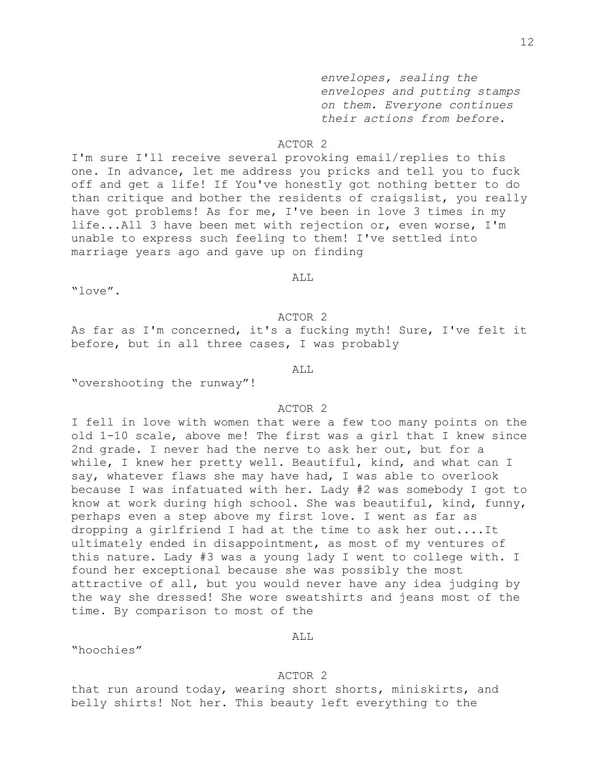*envelopes, sealing the envelopes and putting stamps on them. Everyone continues their actions from before.*

### ACTOR 2

I'm sure I'll receive several provoking email/replies to this one. In advance, let me address you pricks and tell you to fuck off and get a life! If You've honestly got nothing better to do than critique and bother the residents of craigslist, you really have got problems! As for me, I've been in love 3 times in my life...All 3 have been met with rejection or, even worse, I'm unable to express such feeling to them! I've settled into marriage years ago and gave up on finding

ALL

"love".

ACTOR 2

As far as I'm concerned, it's a fucking myth! Sure, I've felt it before, but in all three cases, I was probably

ALL

"overshooting the runway"!

## ACTOR 2

I fell in love with women that were a few too many points on the old 1-10 scale, above me! The first was a girl that I knew since 2nd grade. I never had the nerve to ask her out, but for a while, I knew her pretty well. Beautiful, kind, and what can I say, whatever flaws she may have had, I was able to overlook because I was infatuated with her. Lady #2 was somebody I got to know at work during high school. She was beautiful, kind, funny, perhaps even a step above my first love. I went as far as dropping a girlfriend I had at the time to ask her out....It ultimately ended in disappointment, as most of my ventures of this nature. Lady #3 was a young lady I went to college with. I found her exceptional because she was possibly the most attractive of all, but you would never have any idea judging by the way she dressed! She wore sweatshirts and jeans most of the time. By comparison to most of the

## ALL

"hoochies"

## ACTOR 2

that run around today, wearing short shorts, miniskirts, and belly shirts! Not her. This beauty left everything to the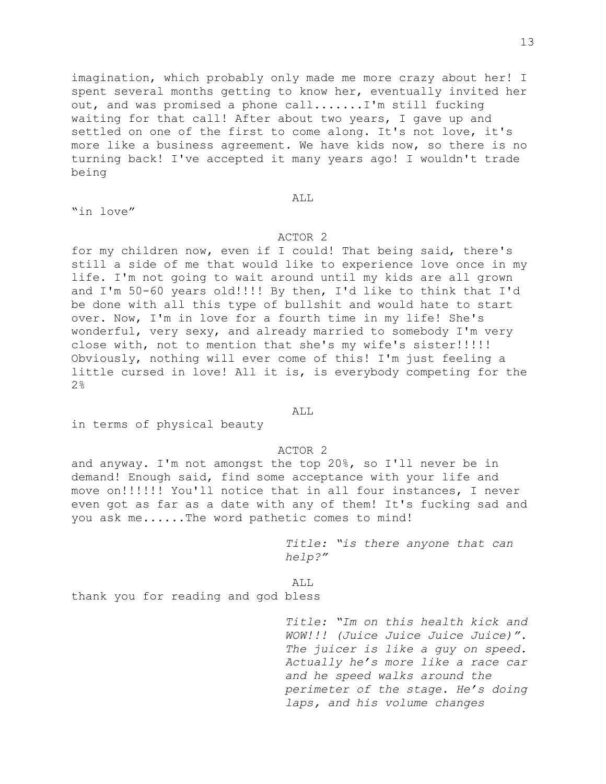imagination, which probably only made me more crazy about her! I spent several months getting to know her, eventually invited her out, and was promised a phone call.......I'm still fucking waiting for that call! After about two years, I gave up and settled on one of the first to come along. It's not love, it's more like a business agreement. We have kids now, so there is no turning back! I've accepted it many years ago! I wouldn't trade being

ALL

"in love"

## ACTOR 2

for my children now, even if I could! That being said, there's still a side of me that would like to experience love once in my life. I'm not going to wait around until my kids are all grown and I'm 50-60 years old!!!! By then, I'd like to think that I'd be done with all this type of bullshit and would hate to start over. Now, I'm in love for a fourth time in my life! She's wonderful, very sexy, and already married to somebody I'm very close with, not to mention that she's my wife's sister!!!!! Obviously, nothing will ever come of this! I'm just feeling a little cursed in love! All it is, is everybody competing for the 2%

#### ALL.

in terms of physical beauty

## ACTOR 2

and anyway. I'm not amongst the top 20%, so I'll never be in demand! Enough said, find some acceptance with your life and move on!!!!!! You'll notice that in all four instances, I never even got as far as a date with any of them! It's fucking sad and you ask me......The word pathetic comes to mind!

> *Title: "is there anyone that can help?"*

ALL

thank you for reading and god bless

*Title: "Im on this health kick and WOW!!! (Juice Juice Juice Juice)". The juicer is like a guy on speed. Actually he's more like a race car and he speed walks around the perimeter of the stage. He's doing laps, and his volume changes*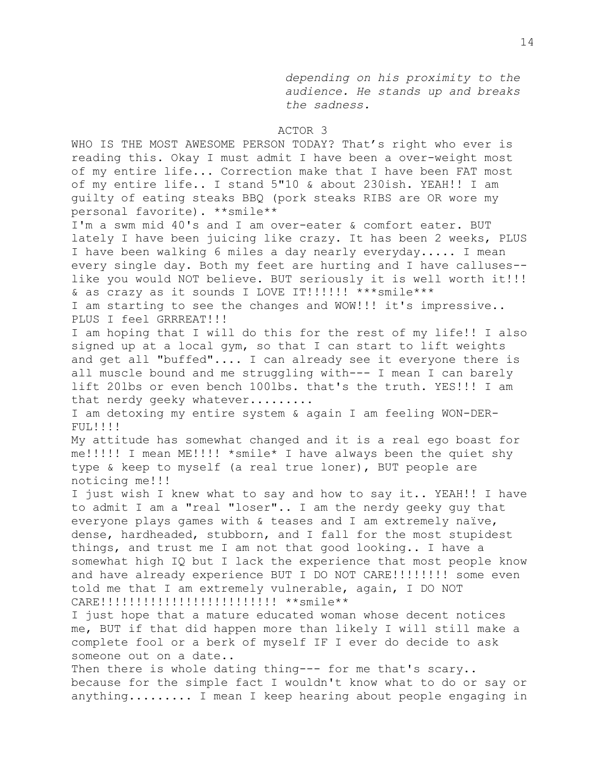*depending on his proximity to the audience. He stands up and breaks the sadness.*

### ACTOR 3

WHO IS THE MOST AWESOME PERSON TODAY? That's right who ever is reading this. Okay I must admit I have been a over-weight most of my entire life... Correction make that I have been FAT most of my entire life.. I stand 5"10 & about 230ish. YEAH!! I am guilty of eating steaks BBQ (pork steaks RIBS are OR wore my personal favorite). \*\*smile\*\*

I'm a swm mid 40's and I am over-eater & comfort eater. BUT lately I have been juicing like crazy. It has been 2 weeks, PLUS I have been walking 6 miles a day nearly everyday..... I mean every single day. Both my feet are hurting and I have calluses- like you would NOT believe. BUT seriously it is well worth it!!! & as crazy as it sounds I LOVE IT!!!!!! \*\*\*smile\*\*\*

I am starting to see the changes and WOW!!! it's impressive.. PLUS I feel GRRREAT!!!

I am hoping that I will do this for the rest of my life!! I also signed up at a local gym, so that I can start to lift weights and get all "buffed".... I can already see it everyone there is all muscle bound and me struggling with--- I mean I can barely lift 20lbs or even bench 100lbs. that's the truth. YES!!! I am that nerdy geeky whatever........

I am detoxing my entire system & again I am feeling WON-DER-FUL!!!!

My attitude has somewhat changed and it is a real ego boast for me!!!!! I mean ME!!!! \*smile\* I have always been the quiet shy type & keep to myself (a real true loner), BUT people are noticing me!!!

I just wish I knew what to say and how to say it.. YEAH!! I have to admit I am a "real "loser".. I am the nerdy geeky guy that everyone plays games with & teases and I am extremely naïve, dense, hardheaded, stubborn, and I fall for the most stupidest things, and trust me I am not that good looking.. I have a somewhat high IQ but I lack the experience that most people know and have already experience BUT I DO NOT CARE!!!!!!!!! some even told me that I am extremely vulnerable, again, I DO NOT CARE!!!!!!!!!!!!!!!!!!!!!!!!!! \*\*smile\*\*

I just hope that a mature educated woman whose decent notices me, BUT if that did happen more than likely I will still make a complete fool or a berk of myself IF I ever do decide to ask someone out on a date..

Then there is whole dating thing--- for me that's scary.. because for the simple fact I wouldn't know what to do or say or anything......... I mean I keep hearing about people engaging in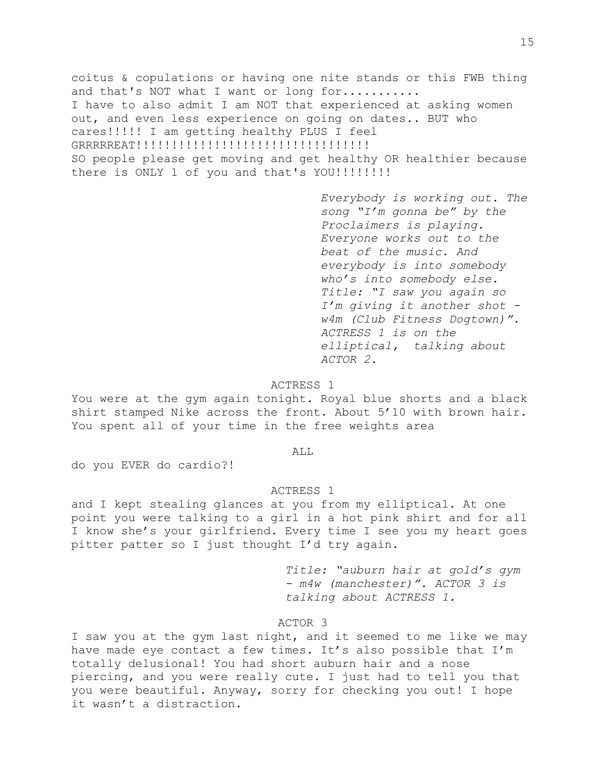coitus & copulations or having one nite stands or this FWB thing and that's NOT what I want or long for.......... I have to also admit I am NOT that experienced at asking women out, and even less experience on going on dates.. BUT who cares!!!!! I am getting healthy PLUS I feel GRRRRREAT!!!!!!!!!!!!!!!!!!!!!!!!!!!!!!!!! SO people please get moving and get healthy OR healthier because there is ONLY 1 of you and that's YOU!!!!!!!!!

> *Everybody is working out. The song "I'm gonna be" by the Proclaimers is playing. Everyone works out to the beat of the music. And everybody is into somebody who's into somebody else. Title: "I saw you again so I'm giving it another shot w4m (Club Fitness Dogtown)". ACTRESS 1 is on the elliptical, talking about ACTOR 2.*

### ACTRESS 1

You were at the gym again tonight. Royal blue shorts and a black shirt stamped Nike across the front. About 5'10 with brown hair. You spent all of your time in the free weights area

#### ALL

do you EVER do cardio?!

## ACTRESS 1

and I kept stealing glances at you from my elliptical. At one point you were talking to a girl in a hot pink shirt and for all I know she's your girlfriend. Every time I see you my heart goes pitter patter so I just thought I'd try again.

> *Title: "auburn hair at gold's gym - m4w (manchester)". ACTOR 3 is talking about ACTRESS 1.*

### ACTOR 3

I saw you at the gym last night, and it seemed to me like we may have made eye contact a few times. It's also possible that I'm totally delusional! You had short auburn hair and a nose piercing, and you were really cute. I just had to tell you that you were beautiful. Anyway, sorry for checking you out! I hope it wasn't a distraction.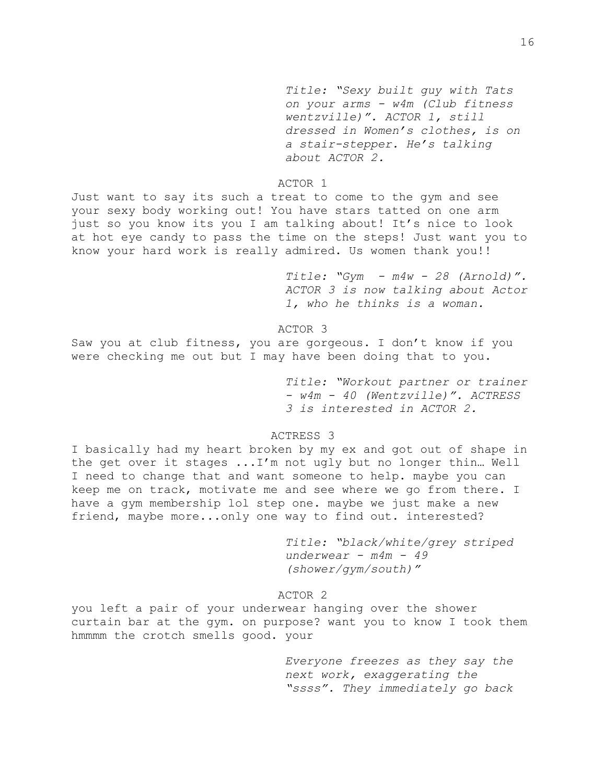*Title: "Sexy built guy with Tats on your arms - w4m (Club fitness wentzville)". ACTOR 1, still dressed in Women's clothes, is on a stair-stepper. He's talking about ACTOR 2.*

## ACTOR 1

Just want to say its such a treat to come to the gym and see your sexy body working out! You have stars tatted on one arm just so you know its you I am talking about! It's nice to look at hot eye candy to pass the time on the steps! Just want you to know your hard work is really admired. Us women thank you!!

> *Title: "Gym - m4w - 28 (Arnold)". ACTOR 3 is now talking about Actor 1, who he thinks is a woman.*

### ACTOR 3

Saw you at club fitness, you are gorgeous. I don't know if you were checking me out but I may have been doing that to you.

> *Title: "Workout partner or trainer - w4m - 40 (Wentzville)". ACTRESS 3 is interested in ACTOR 2.*

# ACTRESS 3

I basically had my heart broken by my ex and got out of shape in the get over it stages ...I'm not ugly but no longer thin… Well I need to change that and want someone to help. maybe you can keep me on track, motivate me and see where we go from there. I have a gym membership lol step one. maybe we just make a new friend, maybe more...only one way to find out. interested?

> *Title: "black/white/grey striped underwear - m4m - 49 (shower/gym/south)"*

## ACTOR 2

you left a pair of your underwear hanging over the shower curtain bar at the gym. on purpose? want you to know I took them hmmmm the crotch smells good. your

> *Everyone freezes as they say the next work, exaggerating the "ssss". They immediately go back*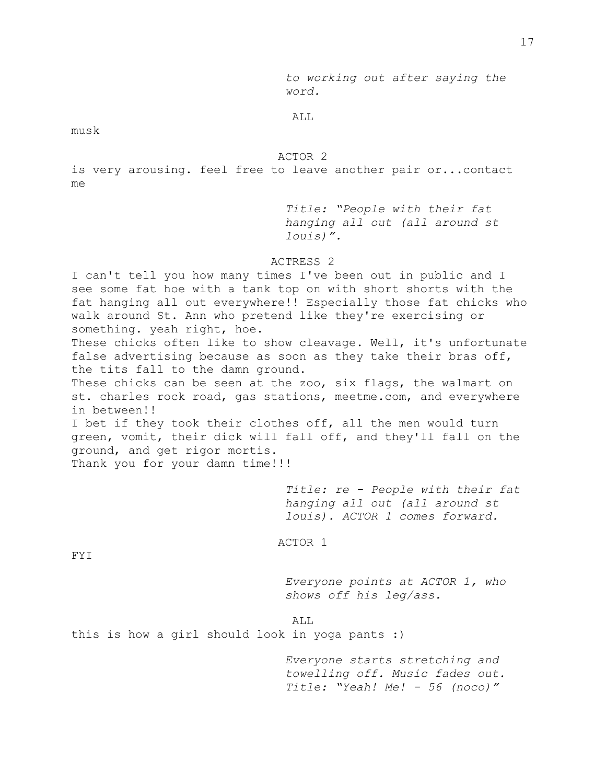*to working out after saying the word.*

ALL

musk

ACTOR 2

is very arousing. feel free to leave another pair or...contact me

> *Title: "People with their fat hanging all out (all around st louis)".*

## ACTRESS 2

I can't tell you how many times I've been out in public and I see some fat hoe with a tank top on with short shorts with the fat hanging all out everywhere!! Especially those fat chicks who walk around St. Ann who pretend like they're exercising or something. yeah right, hoe. These chicks often like to show cleavage. Well, it's unfortunate false advertising because as soon as they take their bras off, the tits fall to the damn ground. These chicks can be seen at the zoo, six flags, the walmart on st. charles rock road, gas stations, [meetme.com,](http://meetme.com/) and everywhere in between!! I bet if they took their clothes off, all the men would turn green, vomit, their dick will fall off, and they'll fall on the ground, and get rigor mortis. Thank you for your damn time!!!

> *Title: re - People with their fat hanging all out (all around st louis). ACTOR 1 comes forward.*

ACTOR 1

FYI

*Everyone points at ACTOR 1, who shows off his leg/ass.*

ALL

this is how a girl should look in yoga pants :)

*Everyone starts stretching and towelling off. Music fades out. Title: "Yeah! Me! - 56 (noco)"*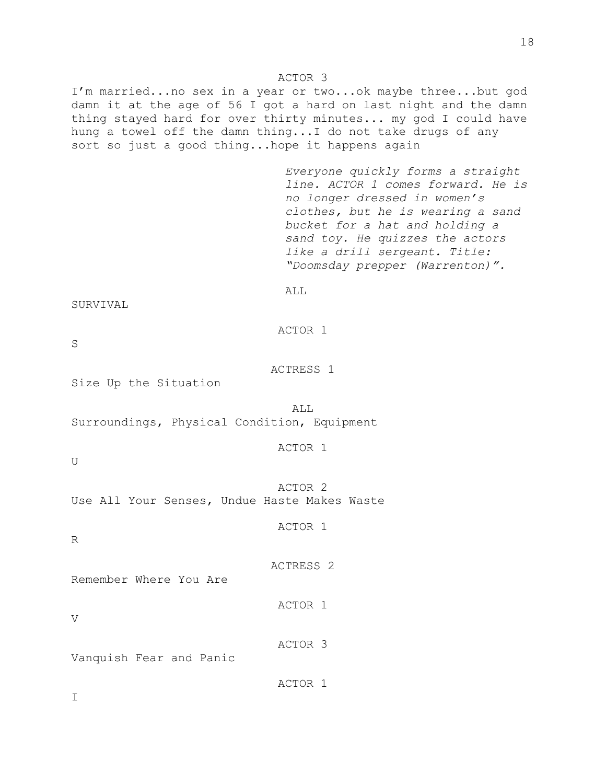### ACTOR 3

I'm married...no sex in a year or two...ok maybe three...but god damn it at the age of 56 I got a hard on last night and the damn thing stayed hard for over thirty minutes... my god I could have hung a towel off the damn thing...I do not take drugs of any sort so just a good thing...hope it happens again

> *Everyone quickly forms a straight line. ACTOR 1 comes forward. He is no longer dressed in women's clothes, but he is wearing a sand bucket for a hat and holding a sand toy. He quizzes the actors like a drill sergeant. Title: "Doomsday prepper (Warrenton)".*

SURVIVAL

ACTOR 1

ALL

S

ACTRESS 1

Size Up the Situation

ALL Surroundings, Physical Condition, Equipment

ACTOR 1

U

ACTOR 2 Use All Your Senses, Undue Haste Makes Waste

ACTOR 1

ACTRESS 2

ACTOR 1

ACTOR 3

R

Remember Where You Are

V

I

Vanquish Fear and Panic

ACTOR 1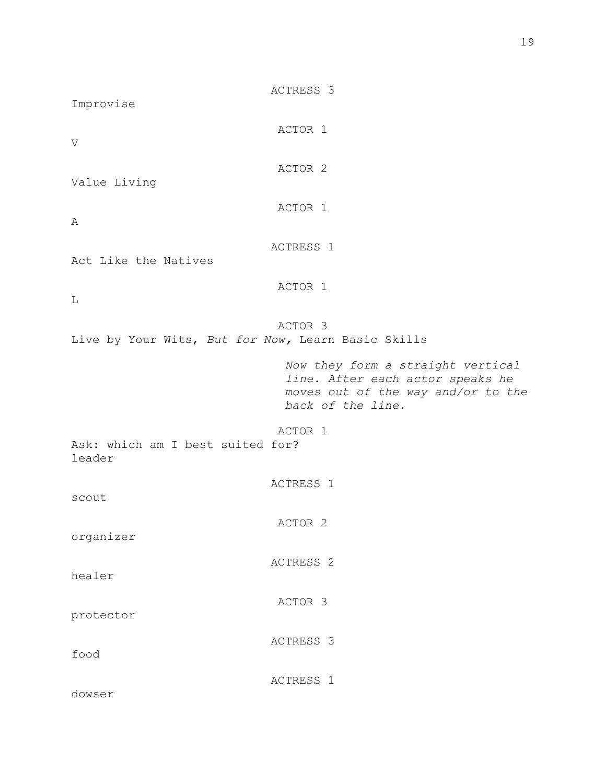| Improvise                                             | ACTRESS 3                                                                                                                        |  |
|-------------------------------------------------------|----------------------------------------------------------------------------------------------------------------------------------|--|
| $\mathbf{V}$                                          | ACTOR 1                                                                                                                          |  |
| Value Living                                          | ACTOR <sub>2</sub>                                                                                                               |  |
| Α                                                     | ACTOR 1                                                                                                                          |  |
| Act Like the Natives                                  | ACTRESS 1                                                                                                                        |  |
|                                                       | ACTOR 1                                                                                                                          |  |
| L                                                     | ACTOR <sub>3</sub>                                                                                                               |  |
| Live by Your Wits, But for Now, Learn Basic Skills    |                                                                                                                                  |  |
|                                                       | Now they form a straight vertical<br>line. After each actor speaks he<br>moves out of the way and/or to the<br>back of the line. |  |
| ACTOR 1<br>Ask: which am I best suited for?<br>leader |                                                                                                                                  |  |
| scout                                                 | ACTRESS <sub>1</sub>                                                                                                             |  |
| organizer                                             | ACTOR 2                                                                                                                          |  |
| healer                                                | ACTRESS <sub>2</sub>                                                                                                             |  |
| protector                                             | ACTOR 3                                                                                                                          |  |
| food                                                  | ACTRESS 3                                                                                                                        |  |
|                                                       | ACTRESS 1                                                                                                                        |  |

dowser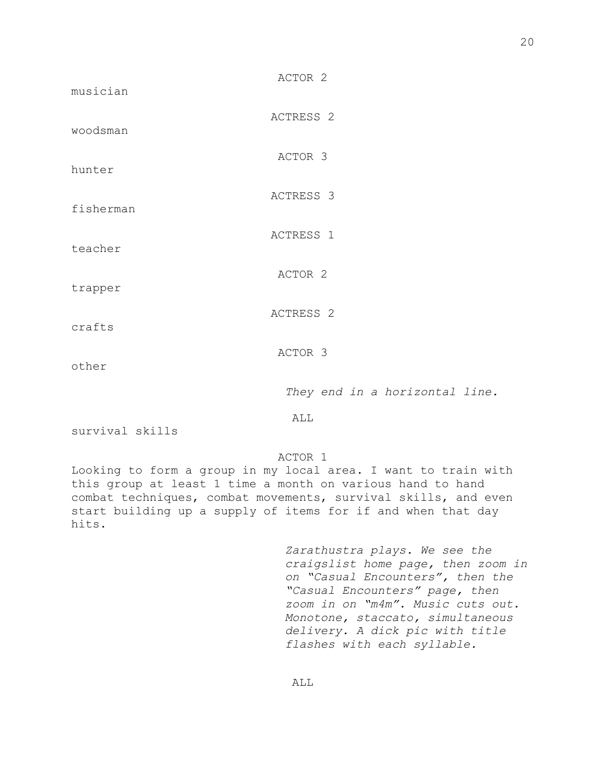| woodsman  | ACTRESS <sub>2</sub>           |
|-----------|--------------------------------|
| hunter    | ACTOR 3                        |
| fisherman | ACTRESS 3                      |
| teacher   | ACTRESS 1                      |
| trapper   | ACTOR 2                        |
| crafts    | ACTRESS <sub>2</sub>           |
| other     | ACTOR 3                        |
|           | They end in a horizontal line. |
|           | ALL                            |

ACTOR 2

survival skills

musician

ACTOR 1

Looking to form a group in my local area. I want to train with this group at least 1 time a month on various hand to hand combat techniques, combat movements, survival skills, and even start building up a supply of items for if and when that day hits.

> *Zarathustra plays. We see the craigslist home page, then zoom in on "Casual Encounters", then the "Casual Encounters" page, then zoom in on "m4m". Music cuts out. Monotone, staccato, simultaneous delivery. A dick pic with title flashes with each syllable.*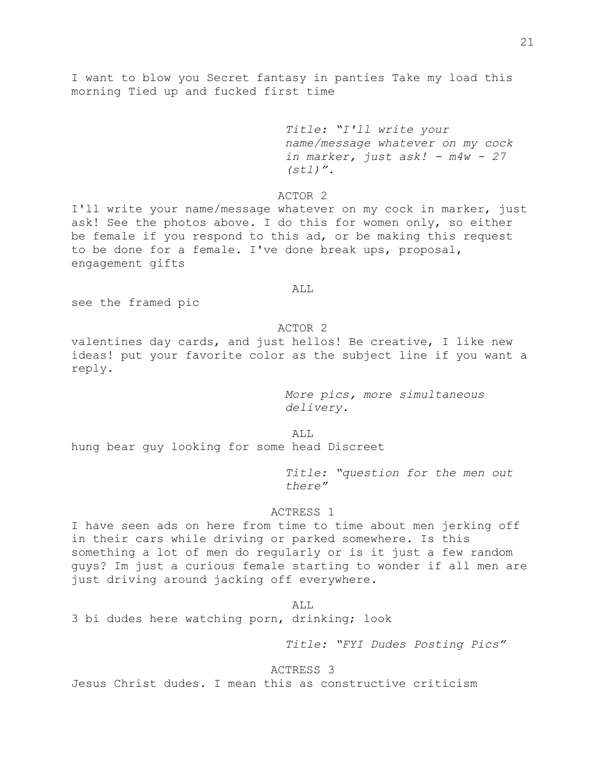I want to blow you Secret fantasy in panties Take my load this morning Tied up and fucked first time

> *Title: "I'll write your name/message whatever on my cock in marker, just ask! - m4w - 27 (stl)".*

ACTOR 2

I'll write your name/message whatever on my cock in marker, just ask! See the photos above. I do this for women only, so either be female if you respond to this ad, or be making this request to be done for a female. I've done break ups, proposal, engagement gifts

### ALL

see the framed pic

## ACTOR 2

valentines day cards, and just hellos! Be creative, I like new ideas! put your favorite color as the subject line if you want a reply.

> *More pics, more simultaneous delivery.*

ALL

hung bear guy looking for some head Discreet

*Title: "question for the men out there"*

## ACTRESS 1

I have seen ads on here from time to time about men jerking off in their cars while driving or parked somewhere. Is this something a lot of men do regularly or is it just a few random guys? Im just a curious female starting to wonder if all men are just driving around jacking off everywhere.

ALL

3 bi dudes here watching porn, drinking; look

*Title: "FYI Dudes Posting Pics"*

## ACTRESS 3

Jesus Christ dudes. I mean this as constructive criticism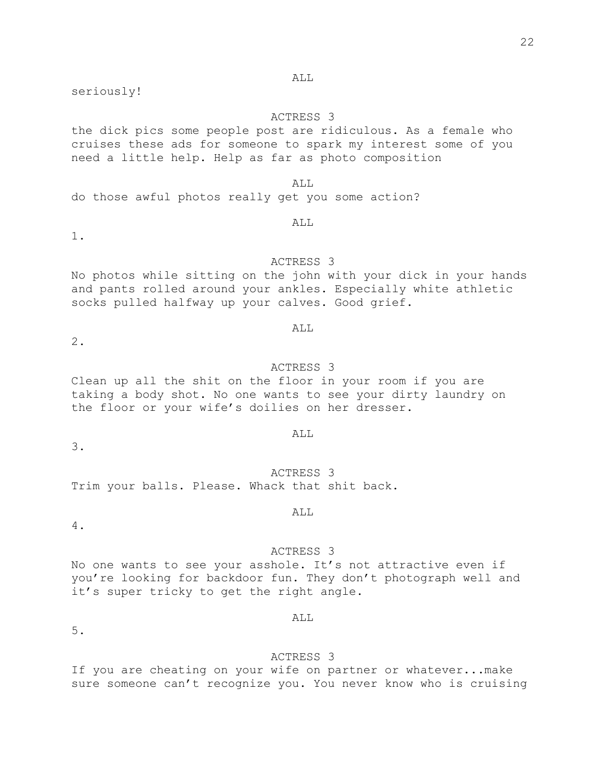### ALL

seriously!

## ACTRESS 3

the dick pics some people post are ridiculous. As a female who cruises these ads for someone to spark my interest some of you need a little help. Help as far as photo composition

## ALL

do those awful photos really get you some action?

# ALL

1.

# ACTRESS 3

No photos while sitting on the john with your dick in your hands and pants rolled around your ankles. Especially white athletic socks pulled halfway up your calves. Good grief.

### ALL

2.

## ACTRESS 3

Clean up all the shit on the floor in your room if you are taking a body shot. No one wants to see your dirty laundry on the floor or your wife's doilies on her dresser.

#### ALL

ACTRESS 3 Trim your balls. Please. Whack that shit back.

## ALL

4.

3.

## ACTRESS 3

No one wants to see your asshole. It's not attractive even if you're looking for backdoor fun. They don't photograph well and it's super tricky to get the right angle.

## ALL

5.

## ACTRESS 3

If you are cheating on your wife on partner or whatever...make sure someone can't recognize you. You never know who is cruising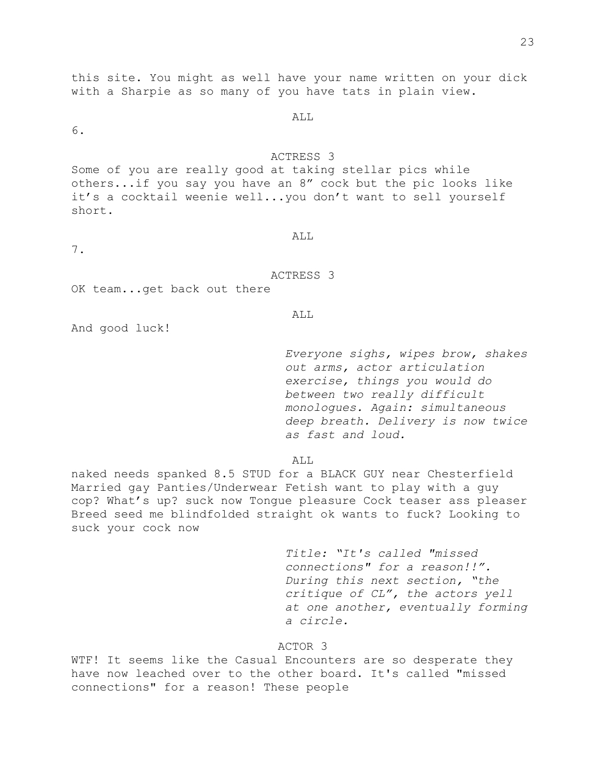this site. You might as well have your name written on your dick with a Sharpie as so many of you have tats in plain view.

ALL

6.

## ACTRESS 3

Some of you are really good at taking stellar pics while others...if you say you have an 8" cock but the pic looks like it's a cocktail weenie well...you don't want to sell yourself short.

7.

# ALL

ACTRESS 3

OK team...get back out there

#### ALL

And good luck!

*Everyone sighs, wipes brow, shakes out arms, actor articulation exercise, things you would do between two really difficult monologues. Again: simultaneous deep breath. Delivery is now twice as fast and loud.*

ALL.

naked needs spanked 8.5 STUD for a BLACK GUY near Chesterfield Married gay Panties/Underwear Fetish want to play with a guy cop? What's up? suck now Tongue pleasure Cock teaser ass pleaser Breed seed me blindfolded straight ok wants to fuck? Looking to suck your cock now

> *Title: "It's called "missed connections" for a reason!!". During this next section, "the critique of CL", the actors yell at one another, eventually forming a circle.*

# ACTOR 3

WTF! It seems like the Casual Encounters are so desperate they have now leached over to the other board. It's called "missed connections" for a reason! These people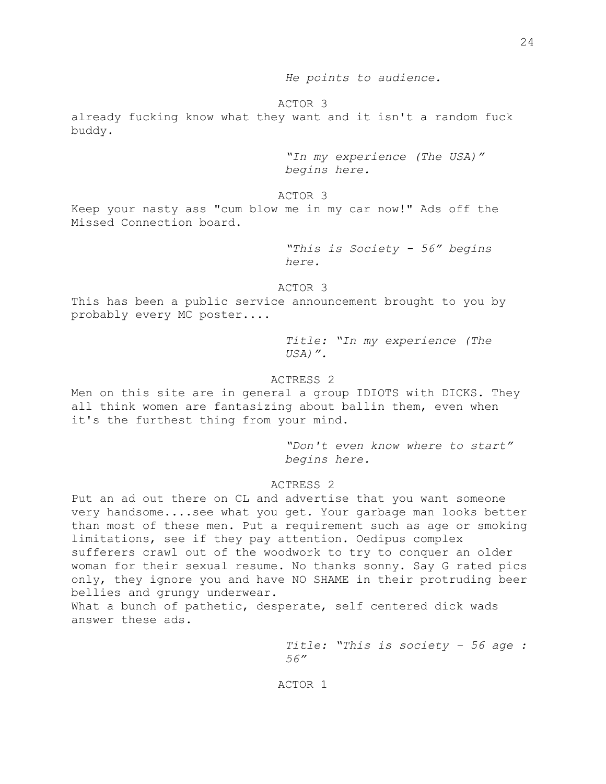*He points to audience.*

ACTOR 3

already fucking know what they want and it isn't a random fuck buddy.

> *"In my experience (The USA)" begins here.*

ACTOR 3

Keep your nasty ass "cum blow me in my car now!" Ads off the Missed Connection board.

> *"This is Society - 56" begins here.*

ACTOR 3

This has been a public service announcement brought to you by probably every MC poster....

> *Title: "In my experience (The USA)".*

## ACTRESS 2

Men on this site are in general a group IDIOTS with DICKS. They all think women are fantasizing about ballin them, even when it's the furthest thing from your mind.

> *"Don't even know where to start" begins here.*

## ACTRESS 2

Put an ad out there on CL and advertise that you want someone very handsome....see what you get. Your garbage man looks better than most of these men. Put a requirement such as age or smoking limitations, see if they pay attention. Oedipus complex sufferers crawl out of the woodwork to try to conquer an older woman for their sexual resume. No thanks sonny. Say G rated pics only, they ignore you and have NO SHAME in their protruding beer bellies and grungy underwear.

What a bunch of pathetic, desperate, self centered dick wads answer these ads.

> *Title: "This is society – 56 age : 56"*

ACTOR 1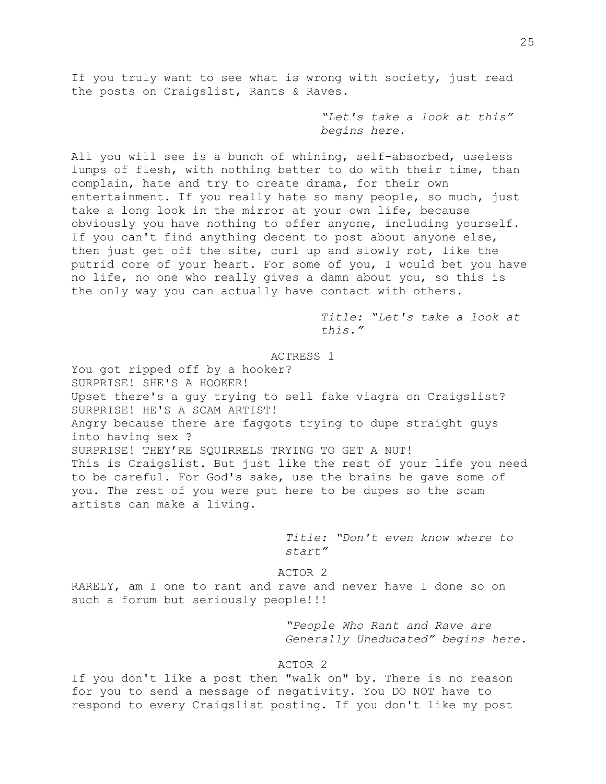If you truly want to see what is wrong with society, just read the posts on Craigslist, Rants & Raves.

> *"Let's take a look at this" begins here.*

All you will see is a bunch of whining, self-absorbed, useless lumps of flesh, with nothing better to do with their time, than complain, hate and try to create drama, for their own entertainment. If you really hate so many people, so much, just take a long look in the mirror at your own life, because obviously you have nothing to offer anyone, including yourself. If you can't find anything decent to post about anyone else, then just get off the site, curl up and slowly rot, like the putrid core of your heart. For some of you, I would bet you have no life, no one who really gives a damn about you, so this is the only way you can actually have contact with others.

> *Title: "Let's take a look at this."*

ACTRESS 1

You got ripped off by a hooker? SURPRISE! SHE'S A HOOKER! Upset there's a guy trying to sell fake viagra on Craigslist? SURPRISE! HE'S A SCAM ARTIST! Angry because there are faggots trying to dupe straight guys into having sex ? SURPRISE! THEY'RE SQUIRRELS TRYING TO GET A NUT! This is Craigslist. But just like the rest of your life you need to be careful. For God's sake, use the brains he gave some of you. The rest of you were put here to be dupes so the scam artists can make a living.

> *Title: "Don't even know where to start"*

ACTOR 2

RARELY, am I one to rant and rave and never have I done so on such a forum but seriously people!!!

> *"People Who Rant and Rave are Generally Uneducated" begins here.*

ACTOR 2

If you don't like a post then "walk on" by. There is no reason for you to send a message of negativity. You DO NOT have to respond to every Craigslist posting. If you don't like my post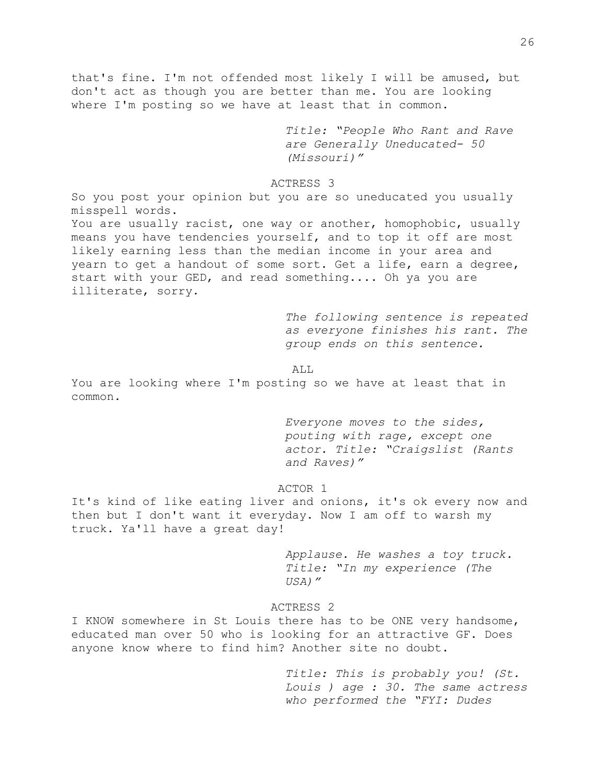that's fine. I'm not offended most likely I will be amused, but don't act as though you are better than me. You are looking where I'm posting so we have at least that in common.

> *Title: "People Who Rant and Rave are Generally Uneducated- 50 (Missouri)"*

### ACTRESS 3

So you post your opinion but you are so uneducated you usually misspell words. You are usually racist, one way or another, homophobic, usually means you have tendencies yourself, and to top it off are most likely earning less than the median income in your area and yearn to get a handout of some sort. Get a life, earn a degree, start with your GED, and read something.... Oh ya you are illiterate, sorry.

> *The following sentence is repeated as everyone finishes his rant. The group ends on this sentence.*

ALL

You are looking where I'm posting so we have at least that in common.

> *Everyone moves to the sides, pouting with rage, except one actor. Title: "Craigslist (Rants and Raves)"*

### ACTOR 1

It's kind of like eating liver and onions, it's ok every now and then but I don't want it everyday. Now I am off to warsh my truck. Ya'll have a great day!

> *Applause. He washes a toy truck. Title: "In my experience (The USA)"*

### ACTRESS 2

I KNOW somewhere in St Louis there has to be ONE very handsome, educated man over 50 who is looking for an attractive GF. Does anyone know where to find him? Another site no doubt.

> *Title: This is probably you! (St. Louis ) age : 30. The same actress who performed the "FYI: Dudes*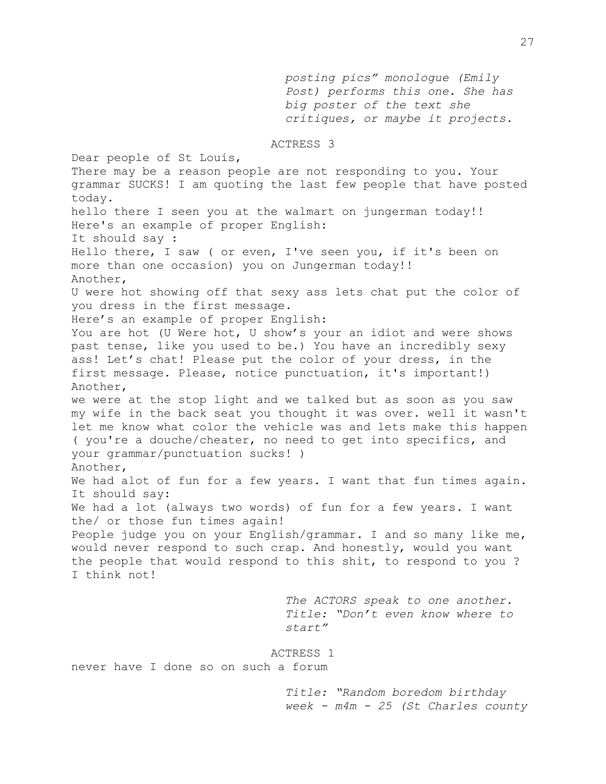*posting pics" monologue (Emily Post) performs this one. She has big poster of the text she critiques, or maybe it projects.* 

ACTRESS 3

Dear people of St Louis, There may be a reason people are not responding to you. Your grammar SUCKS! I am quoting the last few people that have posted today. hello there I seen you at the walmart on jungerman today!! Here's an example of proper English: It should say : Hello there, I saw ( or even, I've seen you, if it's been on more than one occasion) you on Jungerman today!! Another, U were hot showing off that sexy ass lets chat put the color of you dress in the first message. Here's an example of proper English: You are hot (U Were hot, U show's your an idiot and were shows past tense, like you used to be.) You have an incredibly sexy ass! Let's chat! Please put the color of your dress, in the first message. Please, notice punctuation, it's important!) Another, we were at the stop light and we talked but as soon as you saw my wife in the back seat you thought it was over. well it wasn't let me know what color the vehicle was and lets make this happen ( you're a douche/cheater, no need to get into specifics, and your grammar/punctuation sucks! ) Another, We had alot of fun for a few years. I want that fun times again. It should say: We had a lot (always two words) of fun for a few years. I want the/ or those fun times again! People judge you on your English/grammar. I and so many like me, would never respond to such crap. And honestly, would you want the people that would respond to this shit, to respond to you ? I think not! *The ACTORS speak to one another. Title: "Don't even know where to start"* ACTRESS 1 never have I done so on such a forum

> *Title: "Random boredom birthday week - m4m - 25 (St Charles county*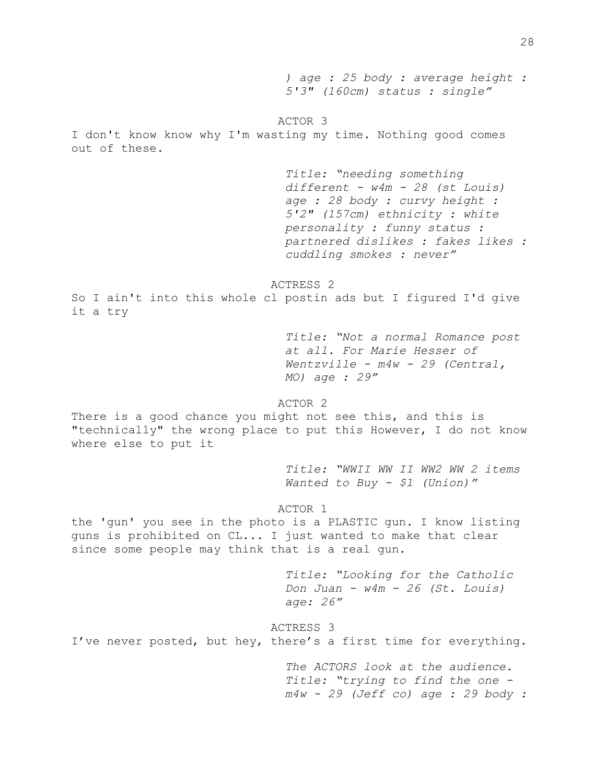*) age : 25 body : average height : 5'3" (160cm) status : single"* ACTOR 3 I don't know know why I'm wasting my time. Nothing good comes out of these. *Title: "needing something different - w4m - 28 (st Louis) age : 28 body : curvy height : 5'2" (157cm) ethnicity : white personality : funny status : partnered dislikes : fakes likes : cuddling smokes : never"* ACTRESS 2 So I ain't into this whole cl postin ads but I figured I'd give it a try *Title: "Not a normal Romance post at all. For Marie Hesser of Wentzville - m4w - 29 (Central, MO) age : 29"* ACTOR 2 There is a good chance you might not see this, and this is "technically" the wrong place to put this However, I do not know where else to put it *Title: "WWII WW II WW2 WW 2 items Wanted to Buy - \$1 (Union)"* ACTOR 1 the 'gun' you see in the photo is a PLASTIC gun. I know listing guns is prohibited on CL... I just wanted to make that clear since some people may think that is a real gun. *Title: "Looking for the Catholic Don Juan - w4m - 26 (St. Louis) age: 26"* ACTRESS 3 I've never posted, but hey, there's a first time for everything. *The ACTORS look at the audience. Title: "trying to find the one m4w - 29 (Jeff co) age : 29 body :*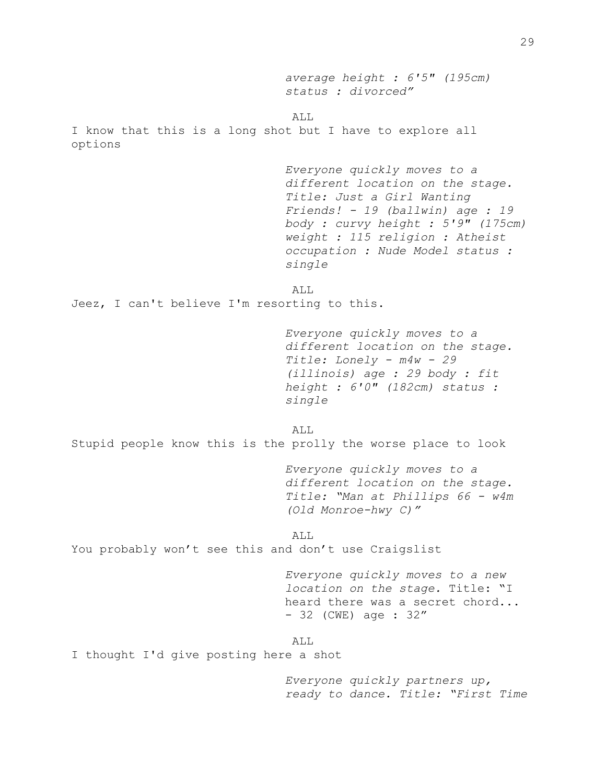*average height : 6'5" (195cm) status : divorced"* ALL I know that this is a long shot but I have to explore all options *Everyone quickly moves to a different location on the stage. Title: Just a Girl Wanting Friends! - 19 (ballwin) age : 19 body : curvy height : 5'9" (175cm) weight : 115 religion : Atheist occupation : Nude Model status : single* ALL Jeez, I can't believe I'm resorting to this. *Everyone quickly moves to a different location on the stage. Title: Lonely - m4w - 29 (illinois) age : 29 body : fit height : 6'0" (182cm) status : single* ALL Stupid people know this is the prolly the worse place to look *Everyone quickly moves to a different location on the stage. Title: "Man at Phillips 66 - w4m (Old Monroe-hwy C)"* ALL You probably won't see this and don't use Craigslist *Everyone quickly moves to a new location on the stage.* Title: "I heard there was a secret chord... - 32 (CWE) age : 32" ALL I thought I'd give posting here a shot

> *Everyone quickly partners up, ready to dance. Title: "First Time*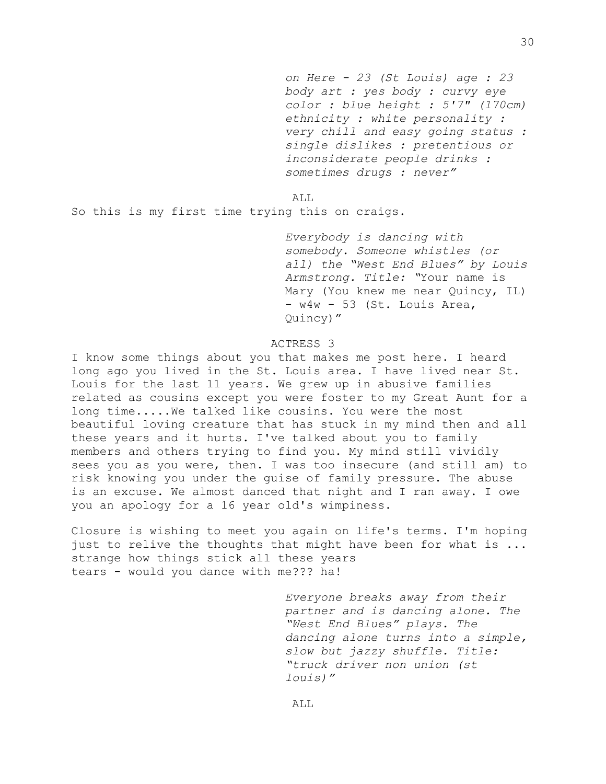*on Here - 23 (St Louis) age : 23 body art : yes body : curvy eye color : blue height : 5'7" (170cm) ethnicity : white personality : very chill and easy going status : single dislikes : pretentious or inconsiderate people drinks : sometimes drugs : never"*

ALL

So this is my first time trying this on craigs.

*Everybody is dancing with somebody. Someone whistles (or all) the "West End Blues" by Louis Armstrong. Title: "*Your name is Mary (You knew me near Quincy, IL) - w4w - 53 (St. Louis Area, Quincy)"

## ACTRESS 3

I know some things about you that makes me post here. I heard long ago you lived in the St. Louis area. I have lived near St. Louis for the last 11 years. We grew up in abusive families related as cousins except you were foster to my Great Aunt for a long time.....We talked like cousins. You were the most beautiful loving creature that has stuck in my mind then and all these years and it hurts. I've talked about you to family members and others trying to find you. My mind still vividly sees you as you were, then. I was too insecure (and still am) to risk knowing you under the guise of family pressure. The abuse is an excuse. We almost danced that night and I ran away. I owe you an apology for a 16 year old's wimpiness.

Closure is wishing to meet you again on life's terms. I'm hoping just to relive the thoughts that might have been for what is ... strange how things stick all these years tears - would you dance with me??? ha!

> *Everyone breaks away from their partner and is dancing alone. The "West End Blues" plays. The dancing alone turns into a simple, slow but jazzy shuffle. Title: "truck driver non union (st louis)"*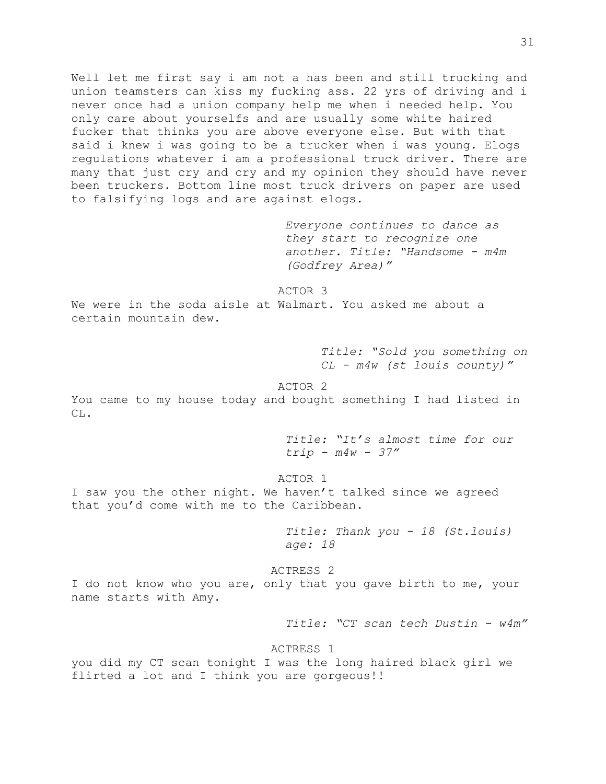Well let me first say i am not a has been and still trucking and union teamsters can kiss my fucking ass. 22 yrs of driving and i never once had a union company help me when i needed help. You only care about yourselfs and are usually some white haired fucker that thinks you are above everyone else. But with that said i knew i was going to be a trucker when i was young. Elogs regulations whatever i am a professional truck driver. There are many that just cry and cry and my opinion they should have never been truckers. Bottom line most truck drivers on paper are used to falsifying logs and are against elogs.

> *Everyone continues to dance as they start to recognize one another. Title: "Handsome - m4m (Godfrey Area)"*

ACTOR 3

We were in the soda aisle at Walmart. You asked me about a certain mountain dew.

> *Title: "Sold you something on CL - m4w (st louis county)"*

## ACTOR 2

You came to my house today and bought something I had listed in CL.

> *Title: "It's almost time for our trip - m4w - 37"*

ACTOR 1

I saw you the other night. We haven't talked since we agreed that you'd come with me to the Caribbean.

> *Title: Thank you - 18 (St.louis) age: 18*

ACTRESS 2 I do not know who you are, only that you gave birth to me, your name starts with Amy.

*Title: "CT scan tech Dustin - w4m"*

ACTRESS 1

you did my CT scan tonight I was the long haired black girl we flirted a lot and I think you are gorgeous!!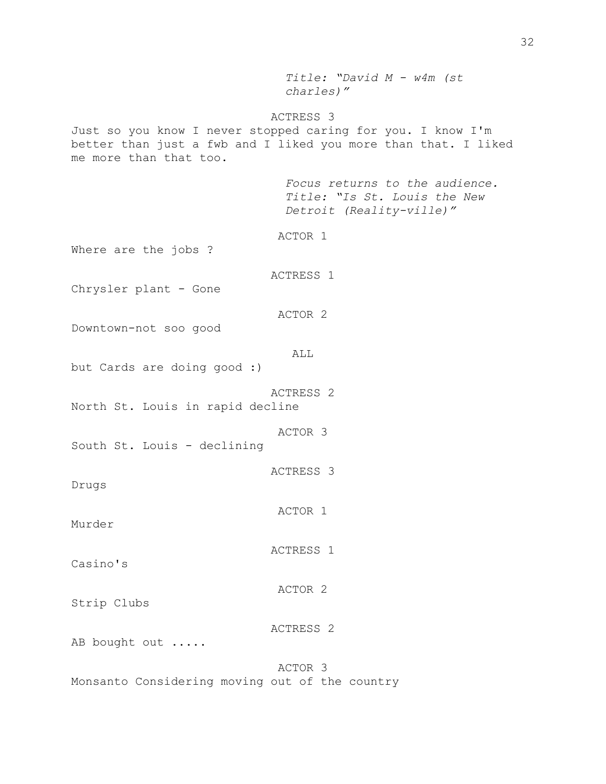*Title: "David M - w4m (st charles)"* ACTRESS 3 Just so you know I never stopped caring for you. I know I'm better than just a fwb and I liked you more than that. I liked me more than that too. *Focus returns to the audience. Title: "Is St. Louis the New Detroit (Reality-ville)"* ACTOR 1 Where are the jobs ? ACTRESS 1 Chrysler plant - Gone ACTOR 2 Downtown-not soo good ALL but Cards are doing good :) ACTRESS 2 North St. Louis in rapid decline ACTOR 3 South St. Louis - declining ACTRESS 3 Drugs ACTOR 1 Murder ACTRESS 1 Casino's ACTOR 2 Strip Clubs ACTRESS 2 AB bought out ..... ACTOR 3 Monsanto Considering moving out of the country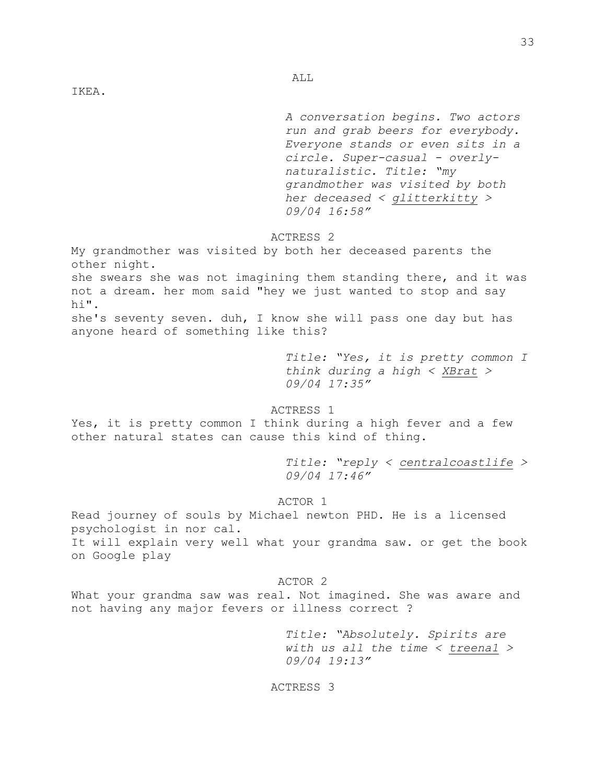IKEA.

*A conversation begins. Two actors run and grab beers for everybody. Everyone stands or even sits in a circle. Super-casual - overlynaturalistic. Title: "my grandmother was visited by both her deceased < [glitterkitty](https://forums.craigslist.org/?act=su&handle=glitterkitty) > 09/04 16:58"*

## ACTRESS 2

ALL

My grandmother was visited by both her deceased parents the other night. she swears she was not imagining them standing there, and it was not a dream. her mom said "hey we just wanted to stop and say hi". she's seventy seven. duh, I know she will pass one day but has anyone heard of something like this?

> *Title: "Yes, it is pretty common I think during a high < [XBrat](https://forums.craigslist.org/?act=su&handle=XBrat) > 09/04 17:35"*

ACTRESS 1

Yes, it is pretty common I think during a high fever and a few other natural states can cause this kind of thing.

> *Title: "reply [<](https://forums.craigslist.org/?act=su&handle=centralcoastlife) [centralcoastlife](https://forums.craigslist.org/?act=su&handle=centralcoastlife) > 09/04 17:46"*

ACTOR 1

Read journey of souls by Michael newton PHD. He is a licensed psychologist in nor cal. It will explain very well what your grandma saw. or get the book on Google play

### ACTOR 2

What your grandma saw was real. Not imagined. She was aware and not having any major fevers or illness correct ?

> *Title: "Absolutely. Spirits are with us all the time [<](https://forums.craigslist.org/?act=su&handle=treena1) [treena1](https://forums.craigslist.org/?act=su&handle=treena1) > 09/04 19:13"*

ACTRESS 3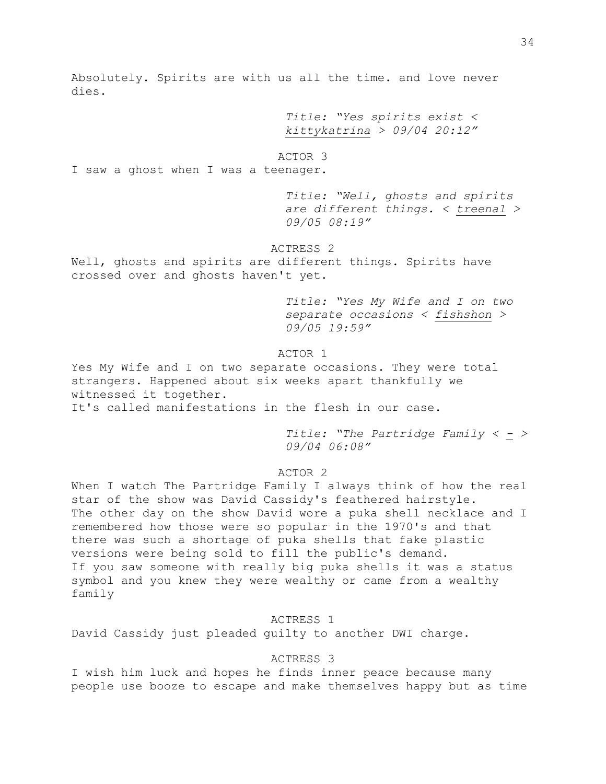Absolutely. Spirits are with us all the time. and love never dies.

> *Title: "Yes spirits exist [<](https://forums.craigslist.org/?act=su&handle=kittykatrina) [kittykatrina](https://forums.craigslist.org/?act=su&handle=kittykatrina) > 09/04 20:12"*

### ACTOR 3

I saw a ghost when I was a teenager.

*Title: "Well, ghosts and spirits are different things. [<](https://forums.craigslist.org/?act=su&handle=treena1) [treena1](https://forums.craigslist.org/?act=su&handle=treena1) > 09/05 08:19"*

## ACTRESS 2

Well, ghosts and spirits are different things. Spirits have crossed over and ghosts haven't yet.

> *Title: "Yes My Wife and I on two separate occasions [<](https://forums.craigslist.org/?act=su&handle=fishshon) [fishshon](https://forums.craigslist.org/?act=su&handle=fishshon) > 09/05 19:59"*

## ACTOR 1

Yes My Wife and I on two separate occasions. They were total strangers. Happened about six weeks apart thankfully we witnessed it together.

It's called manifestations in the flesh in our case.

*Title: "The Partridge Family [<](https://forums.craigslist.org/?act=su&handle=-) [-](https://forums.craigslist.org/?act=su&handle=-) > 09/04 06:08"*

## ACTOR 2

When I watch The Partridge Family I always think of how the real star of the show was David Cassidy's feathered hairstyle. The other day on the show David wore a puka shell necklace and I remembered how those were so popular in the 1970's and that there was such a shortage of puka shells that fake plastic versions were being sold to fill the public's demand. If you saw someone with really big puka shells it was a status symbol and you knew they were wealthy or came from a wealthy family

## ACTRESS 1

David Cassidy just pleaded guilty to another DWI charge.

## ACTRESS 3

I wish him luck and hopes he finds inner peace because many people use booze to escape and make themselves happy but as time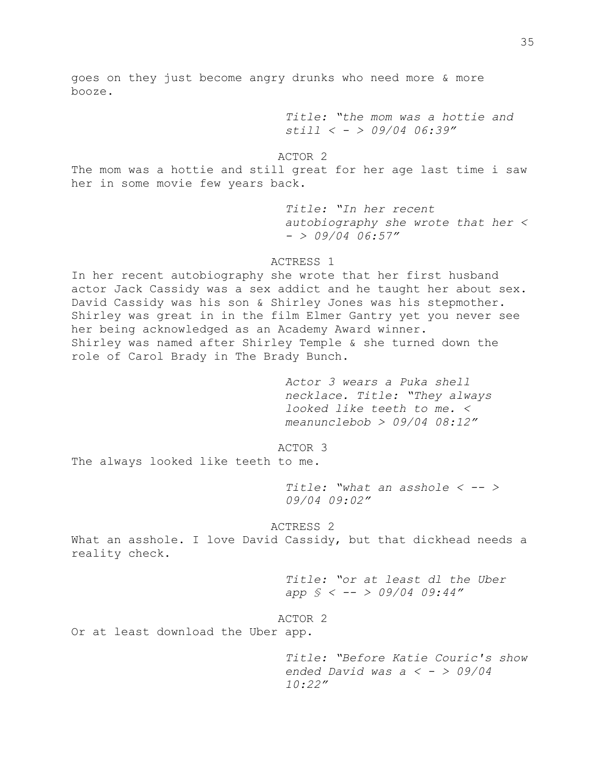goes on they just become angry drunks who need more & more booze.

> *Title: "the mom was a hottie and still < [-](https://forums.craigslist.org/?act=su&handle=-) > 09/04 06:39"*

ACTOR 2

The mom was a hottie and still great for her age last time i saw her in some movie few years back.

> *Title: "In her recent autobiography she wrote that her < [-](https://forums.craigslist.org/?act=su&handle=-) > 09/04 06:57"*

ACTRESS 1

In her recent autobiography she wrote that her first husband actor Jack Cassidy was a sex addict and he taught her about sex. David Cassidy was his son & Shirley Jones was his stepmother. Shirley was great in in the film Elmer Gantry yet you never see her being acknowledged as an Academy Award winner. Shirley was named after Shirley Temple & she turned down the role of Carol Brady in The Brady Bunch.

> *Actor 3 wears a Puka shell necklace. Title: "They always looked like teeth to me. < [meanunclebob](https://forums.craigslist.org/?act=su&handle=meanunclebob) > 09/04 08:12"*

ACTOR 3

The always looked like teeth to me.

*Title: "what an asshole < [--](https://forums.craigslist.org/?act=su&handle=--) > 09/04 09:02"* 

ACTRESS 2

What an asshole. I love David Cassidy, but that dickhead needs a reality check.

> *Title: "or at least dl the Uber app § < [--](https://forums.craigslist.org/?act=su&handle=--) > 09/04 09:44"*

ACTOR 2

Or at least download the Uber app.

*Title: "Before Katie Couric's show ended David was a < [-](https://forums.craigslist.org/?act=su&handle=-) > 09/04 10:22"*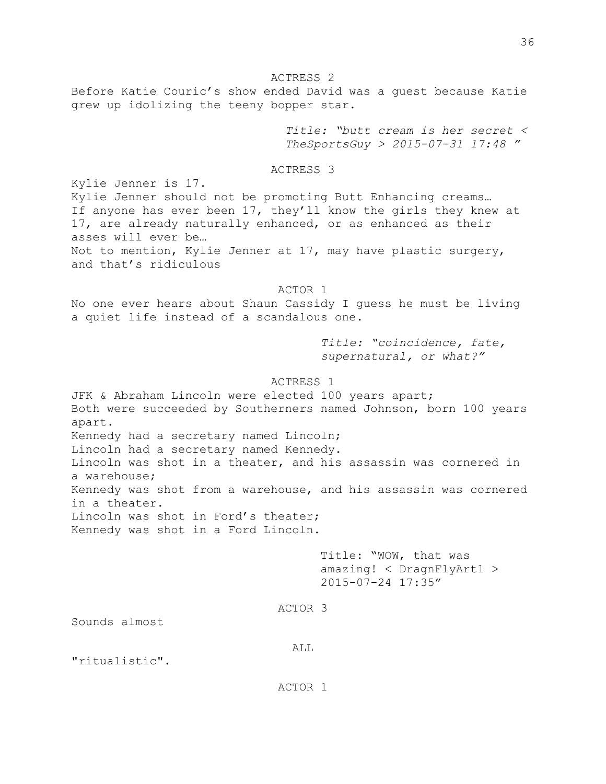ACTRESS 2

Before Katie Couric's show ended David was a guest because Katie grew up idolizing the teeny bopper star.

> *Title: "butt cream is her secret < [TheSportsGuy](https://forums.craigslist.org/?act=su&handle=TheSportsGuy) > 2015-07-31 17:48 "*

ACTRESS 3

Kylie Jenner is 17. Kylie Jenner should not be promoting Butt Enhancing creams… If anyone has ever been 17, they'll know the girls they knew at 17, are already naturally enhanced, or as enhanced as their asses will ever be… Not to mention, Kylie Jenner at 17, may have plastic surgery, and that's ridiculous

## ACTOR 1

No one ever hears about Shaun Cassidy I guess he must be living a quiet life instead of a scandalous one.

> *Title: "coincidence, fate, supernatural, or what?"*

### ACTRESS 1

JFK & Abraham Lincoln were elected 100 years apart; Both were succeeded by Southerners named Johnson, born 100 years apart. Kennedy had a secretary named Lincoln; Lincoln had a secretary named Kennedy. Lincoln was shot in a theater, and his assassin was cornered in a warehouse; Kennedy was shot from a warehouse, and his assassin was cornered in a theater. Lincoln was shot in Ford's theater; Kennedy was shot in a Ford Lincoln.

> Title: "WOW, that was amazing! < [DragnFlyArt1](https://forums.craigslist.org/?act=su&handle=DragnFlyArt1) > 2015-07-24 17:35"

#### ACTOR 3

Sounds almost

#### ALL

"ritualistic".

ACTOR 1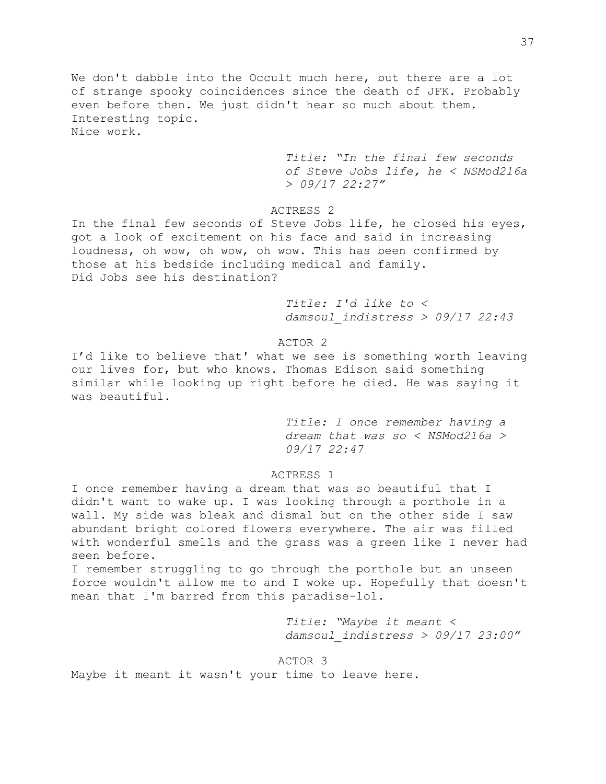We don't dabble into the Occult much here, but there are a lot of strange spooky coincidences since the death of JFK. Probably even before then. We just didn't hear so much about them. Interesting topic. Nice work.

> *Title: "In the final few seconds of Steve Jobs life, he < [NSMod216a](https://forums.craigslist.org/?act=su&handle=NSMod216a) > 09/17 22:27"*

## ACTRESS 2

In the final few seconds of Steve Jobs life, he closed his eyes, got a look of excitement on his face and said in increasing loudness, oh wow, oh wow, oh wow. This has been confirmed by those at his bedside including medical and family. Did Jobs see his destination?

> *Title: I'd like to < [damsoul\\_indistress](https://forums.craigslist.org/?act=su&handle=damsoul_indistress) > 09/17 22:43*

## ACTOR 2

I'd like to believe that' what we see is something worth leaving our lives for, but who knows. Thomas Edison said something similar while looking up right before he died. He was saying it was beautiful.

> *Title: I once remember having a dream that was so < [NSMod216a](https://forums.craigslist.org/?act=su&handle=NSMod216a) > 09/17 22:47*

### ACTRESS 1

I once remember having a dream that was so beautiful that I didn't want to wake up. I was looking through a porthole in a wall. My side was bleak and dismal but on the other side I saw abundant bright colored flowers everywhere. The air was filled with wonderful smells and the grass was a green like I never had seen before.

I remember struggling to go through the porthole but an unseen force wouldn't allow me to and I woke up. Hopefully that doesn't mean that I'm barred from this paradise-lol.

> *Title: "Maybe it meant < [damsoul\\_indistress](https://forums.craigslist.org/?act=su&handle=damsoul_indistress) > 09/17 23:00"*

### ACTOR 3

Maybe it meant it wasn't your time to leave here.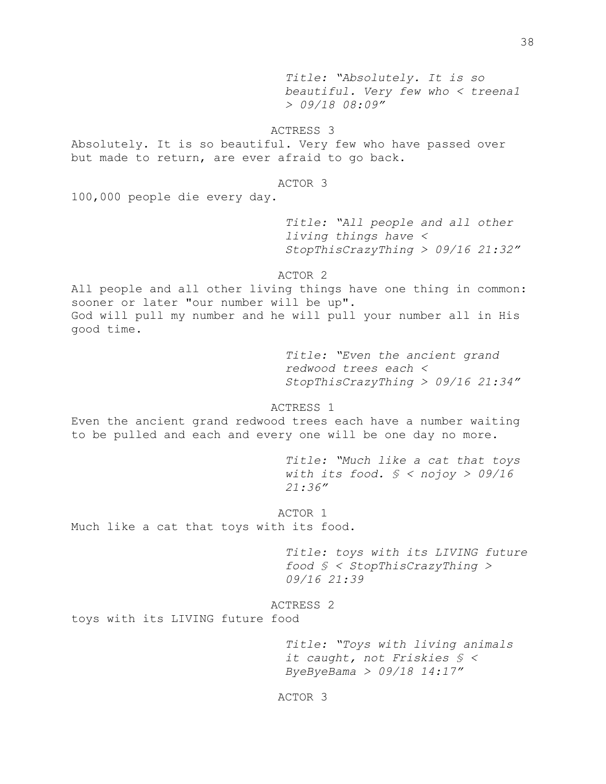*Title: "Absolutely. It is so beautiful. Very few who < [treena1](https://forums.craigslist.org/?act=su&handle=treena1) > 09/18 08:09"*

# ACTRESS 3

Absolutely. It is so beautiful. Very few who have passed over but made to return, are ever afraid to go back.

#### ACTOR 3

100,000 people die every day.

*Title: "All people and all other living things have < [StopThisCrazyThing](https://forums.craigslist.org/?act=su&handle=StopThisCrazyThing) > 09/16 21:32"*

ACTOR 2

All people and all other living things have one thing in common: sooner or later "our number will be up". God will pull my number and he will pull your number all in His good time.

> *Title: "Even the ancient grand redwood trees each < [StopThisCrazyThing](https://forums.craigslist.org/?act=su&handle=StopThisCrazyThing) > 09/16 21:34"*

ACTRESS 1

Even the ancient grand redwood trees each have a number waiting to be pulled and each and every one will be one day no more.

> *Title: "Much like a cat that toys with its food. § < [nojoy](https://forums.craigslist.org/?act=su&handle=nojoy) > 09/16 21:36"*

ACTOR 1 Much like a cat that toys with its food.

> *Title: toys with its LIVING future food § < [StopThisCrazyThing](https://forums.craigslist.org/?act=su&handle=StopThisCrazyThing) > 09/16 21:39*

# ACTRESS 2

toys with its LIVING future food

*Title: "Toys with living animals it caught, not Friskies § < [ByeByeBama](https://forums.craigslist.org/?act=su&handle=ByeByeBama) > 09/18 14:17"*

ACTOR 3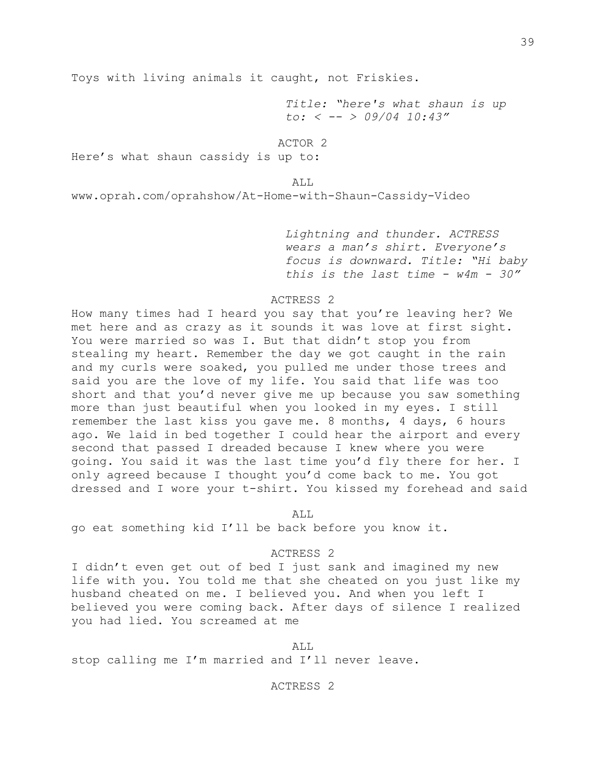Toys with living animals it caught, not Friskies.

*Title: "here's what shaun is up to: < [--](https://forums.craigslist.org/?act=su&handle=--) > 09/04 10:43"*

### ACTOR 2

Here's what shaun cassidy is up to:

### ALL

[www.oprah.com/oprahshow/At-Home-with-Shaun-Cassidy-Video](http://www.oprah.com/oprahshow/At-Home-with-Shaun-Cassidy-Video)

*Lightning and thunder. ACTRESS wears a man's shirt. Everyone's focus is downward. Title: "Hi baby this is the last time - w4m - 30"*

## ACTRESS 2

How many times had I heard you say that you're leaving her? We met here and as crazy as it sounds it was love at first sight. You were married so was I. But that didn't stop you from stealing my heart. Remember the day we got caught in the rain and my curls were soaked, you pulled me under those trees and said you are the love of my life. You said that life was too short and that you'd never give me up because you saw something more than just beautiful when you looked in my eyes. I still remember the last kiss you gave me. 8 months, 4 days, 6 hours ago. We laid in bed together I could hear the airport and every second that passed I dreaded because I knew where you were going. You said it was the last time you'd fly there for her. I only agreed because I thought you'd come back to me. You got dressed and I wore your t-shirt. You kissed my forehead and said

ALL

go eat something kid I'll be back before you know it.

### ACTRESS 2

I didn't even get out of bed I just sank and imagined my new life with you. You told me that she cheated on you just like my husband cheated on me. I believed you. And when you left I believed you were coming back. After days of silence I realized you had lied. You screamed at me

ALL

stop calling me I'm married and I'll never leave.

### ACTRESS 2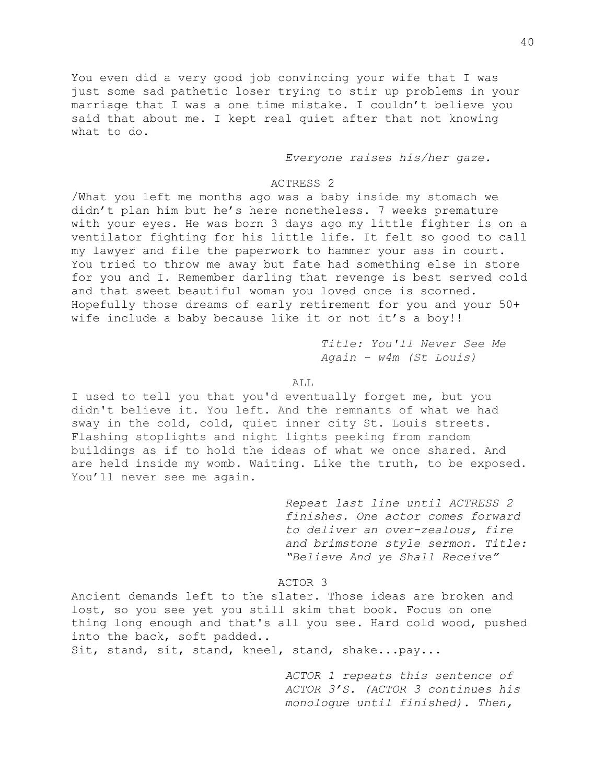You even did a very good job convincing your wife that I was just some sad pathetic loser trying to stir up problems in your marriage that I was a one time mistake. I couldn't believe you said that about me. I kept real quiet after that not knowing what to do.

*Everyone raises his/her gaze.*

### ACTRESS 2

/What you left me months ago was a baby inside my stomach we didn't plan him but he's here nonetheless. 7 weeks premature with your eyes. He was born 3 days ago my little fighter is on a ventilator fighting for his little life. It felt so good to call my lawyer and file the paperwork to hammer your ass in court. You tried to throw me away but fate had something else in store for you and I. Remember darling that revenge is best served cold and that sweet beautiful woman you loved once is scorned. Hopefully those dreams of early retirement for you and your 50+ wife include a baby because like it or not it's a boy!!

> *Title: You'll Never See Me Again - w4m (St Louis)*

#### ALL

I used to tell you that you'd eventually forget me, but you didn't believe it. You left. And the remnants of what we had sway in the cold, cold, quiet inner city St. Louis streets. Flashing stoplights and night lights peeking from random buildings as if to hold the ideas of what we once shared. And are held inside my womb. Waiting. Like the truth, to be exposed. You'll never see me again.

> *Repeat last line until ACTRESS 2 finishes. One actor comes forward to deliver an over-zealous, fire and brimstone style sermon. Title: "Believe And ye Shall Receive"*

ACTOR 3

Ancient demands left to the slater. Those ideas are broken and lost, so you see yet you still skim that book. Focus on one thing long enough and that's all you see. Hard cold wood, pushed into the back, soft padded..

Sit, stand, sit, stand, kneel, stand, shake...pay...

*ACTOR 1 repeats this sentence of ACTOR 3'S. (ACTOR 3 continues his monologue until finished). Then,*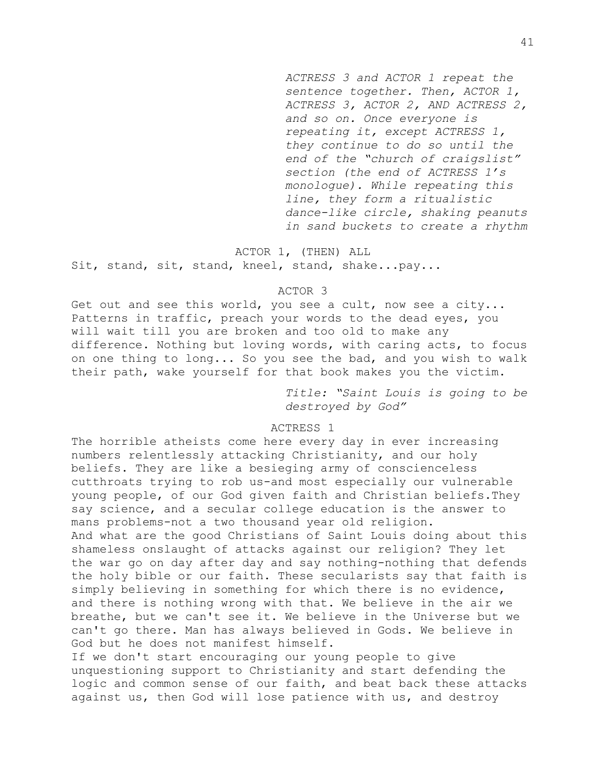*ACTRESS 3 and ACTOR 1 repeat the sentence together. Then, ACTOR 1, ACTRESS 3, ACTOR 2, AND ACTRESS 2, and so on. Once everyone is repeating it, except ACTRESS 1, they continue to do so until the end of the "church of craigslist" section (the end of ACTRESS 1's monologue). While repeating this line, they form a ritualistic dance-like circle, shaking peanuts in sand buckets to create a rhythm*

# ACTOR 1, (THEN) ALL Sit, stand, sit, stand, kneel, stand, shake...pay...

### ACTOR 3

Get out and see this world, you see a cult, now see a city... Patterns in traffic, preach your words to the dead eyes, you will wait till you are broken and too old to make any difference. Nothing but loving words, with caring acts, to focus on one thing to long... So you see the bad, and you wish to walk their path, wake yourself for that book makes you the victim.

> *Title: "Saint Louis is going to be destroyed by God"*

## ACTRESS 1

The horrible atheists come here every day in ever increasing numbers relentlessly attacking Christianity, and our holy beliefs. They are like a besieging army of conscienceless cutthroats trying to rob us-and most especially our vulnerable young people, of our God given faith and Christian beliefs.They say science, and a secular college education is the answer to mans problems-not a two thousand year old religion. And what are the good Christians of Saint Louis doing about this shameless onslaught of attacks against our religion? They let the war go on day after day and say nothing-nothing that defends the holy bible or our faith. These secularists say that faith is simply believing in something for which there is no evidence, and there is nothing wrong with that. We believe in the air we breathe, but we can't see it. We believe in the Universe but we can't go there. Man has always believed in Gods. We believe in God but he does not manifest himself.

If we don't start encouraging our young people to give unquestioning support to Christianity and start defending the logic and common sense of our faith, and beat back these attacks against us, then God will lose patience with us, and destroy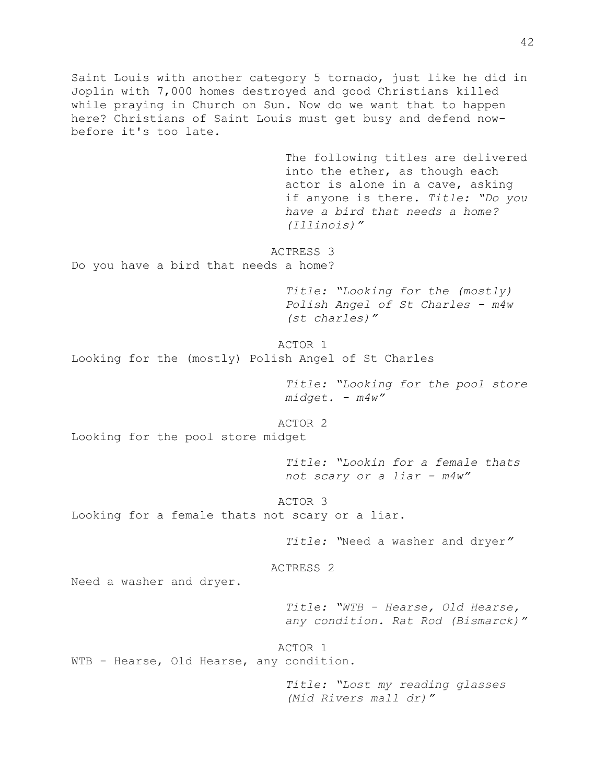Saint Louis with another category 5 tornado, just like he did in Joplin with 7,000 homes destroyed and good Christians killed while praying in Church on Sun. Now do we want that to happen here? Christians of Saint Louis must get busy and defend nowbefore it's too late. The following titles are delivered into the ether, as though each actor is alone in a cave, asking if anyone is there. *Title: "Do you have a bird that needs a home? (Illinois)"* ACTRESS 3 Do you have a bird that needs a home? *Title: "Looking for the (mostly) Polish Angel of St Charles - m4w (st charles)"* ACTOR 1 Looking for the (mostly) Polish Angel of St Charles *Title: "Looking for the pool store midget. - m4w"* ACTOR 2 Looking for the pool store midget *Title: "Lookin for a female thats not scary or a liar - m4w"* ACTOR 3 Looking for a female thats not scary or a liar. *Title: "*Need a washer and dryer*"* ACTRESS 2 Need a washer and dryer. *Title: "WTB - Hearse, Old Hearse, any condition. Rat Rod (Bismarck)"* ACTOR 1 WTB - Hearse, Old Hearse, any condition. *Title: "Lost my reading glasses (Mid Rivers mall dr)"*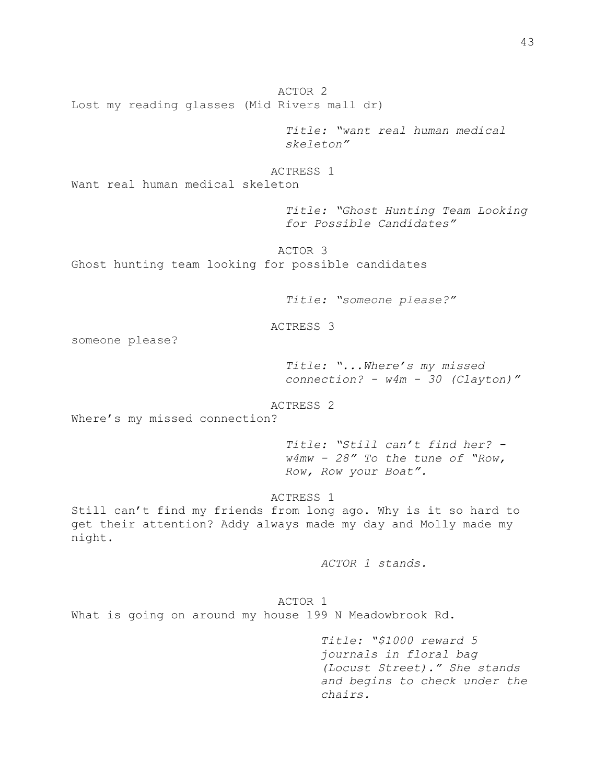ACTOR 2 Lost my reading glasses (Mid Rivers mall dr)

> *Title: "want real human medical skeleton"*

ACTRESS 1

Want real human medical skeleton

*Title: "Ghost Hunting Team Looking for Possible Candidates"*

ACTOR 3

Ghost hunting team looking for possible candidates

*Title: "someone please?"*

ACTRESS 3

someone please?

*Title: "...Where's my missed connection? - w4m - 30 (Clayton)"*

ACTRESS 2

Where's my missed connection?

*Title: "Still can't find her? w4mw - 28" To the tune of "Row, Row, Row your Boat".*

## ACTRESS 1

Still can't find my friends from long ago. Why is it so hard to get their attention? Addy always made my day and Molly made my night.

*ACTOR 1 stands.*

ACTOR 1 What is going on around my house 199 N Meadowbrook Rd.

> *Title: "\$1000 reward 5 journals in floral bag (Locust Street)." She stands and begins to check under the chairs.*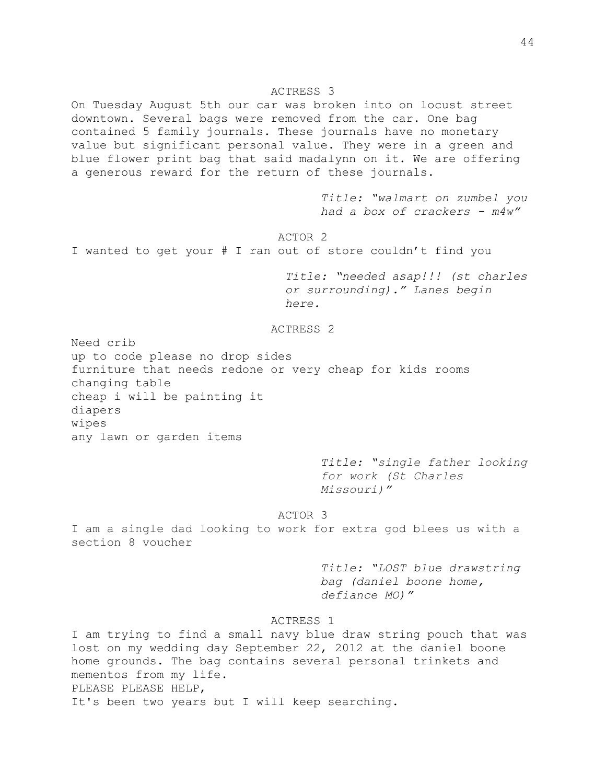### ACTRESS 3

On Tuesday August 5th our car was broken into on locust street downtown. Several bags were removed from the car. One bag contained 5 family journals. These journals have no monetary value but significant personal value. They were in a green and blue flower print bag that said madalynn on it. We are offering a generous reward for the return of these journals.

> *Title: "walmart on zumbel you had a box of crackers - m4w"*

ACTOR 2 I wanted to get your # I ran out of store couldn't find you

> *Title: "needed asap!!! (st charles or surrounding)." Lanes begin here.*

ACTRESS 2

Need crib up to code please no drop sides furniture that needs redone or very cheap for kids rooms changing table cheap i will be painting it diapers wipes any lawn or garden items

> *Title: "single father looking for work (St Charles Missouri)"*

ACTOR 3

I am a single dad looking to work for extra god blees us with a section 8 voucher

> *Title: "LOST blue drawstring bag (daniel boone home, defiance MO)"*

# ACTRESS 1

I am trying to find a small navy blue draw string pouch that was lost on my wedding day September 22, 2012 at the daniel boone home grounds. The bag contains several personal trinkets and mementos from my life. PLEASE PLEASE HELP, It's been two years but I will keep searching.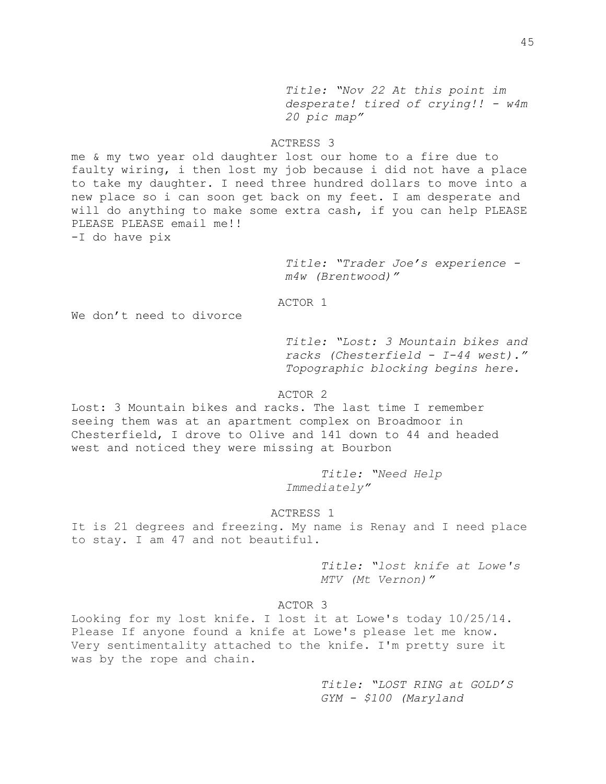*Title: "Nov 22 [At this point im](https://stlouis.craigslist.org/mis/4773809583.html)  [desperate! tired of crying!! -](https://stlouis.craigslist.org/mis/4773809583.html) w4m 20 pic map"*

## ACTRESS 3

me & my two year old daughter lost our home to a fire due to faulty wiring, i then lost my job because i did not have a place to take my daughter. I need three hundred dollars to move into a new place so i can soon get back on my feet. I am desperate and will do anything to make some extra cash, if you can help PLEASE PLEASE PLEASE email me!! -I do have pix

> *Title: "Trader Joe's experience m4w (Brentwood)"*

ACTOR 1

We don't need to divorce

*Title: "Lost: 3 Mountain bikes and racks (Chesterfield - I-44 west)." Topographic blocking begins here.*

## ACTOR 2

Lost: 3 Mountain bikes and racks. The last time I remember seeing them was at an apartment complex on Broadmoor in Chesterfield, I drove to Olive and 141 down to 44 and headed west and noticed they were missing at Bourbon

> *Title: "Need Help Immediately"*

#### ACTRESS 1

It is 21 degrees and freezing. My name is Renay and I need place to stay. I am 47 and not beautiful.

> *Title: "lost knife at Lowe's MTV (Mt Vernon)"*

## ACTOR 3

Looking for my lost knife. I lost it at Lowe's today 10/25/14. Please If anyone found a knife at Lowe's please let me know. Very sentimentality attached to the knife. I'm pretty sure it was by the rope and chain.

> *Title: "LOST RING at GOLD'S GYM - \$100 (Maryland*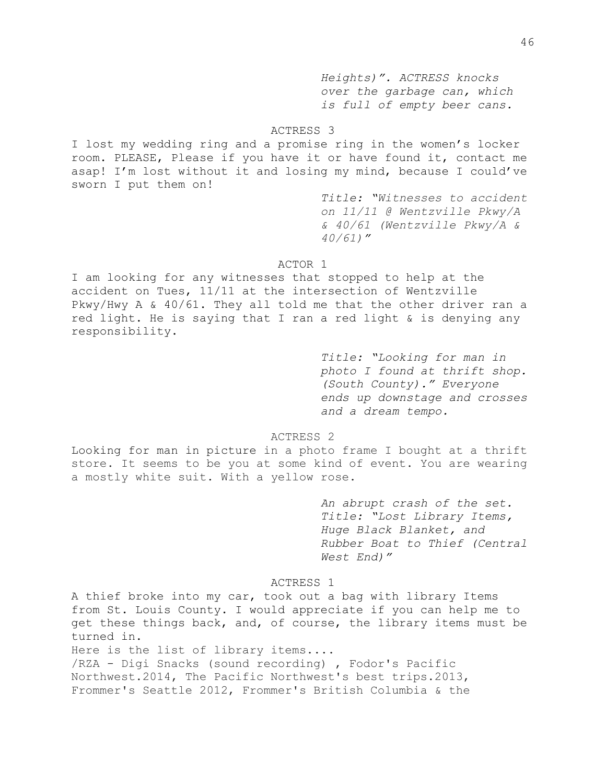*Heights)". ACTRESS knocks over the garbage can, which is full of empty beer cans.*

## ACTRESS 3

I lost my wedding ring and a promise ring in the women's locker room. PLEASE, Please if you have it or have found it, contact me asap! I'm lost without it and losing my mind, because I could've sworn I put them on!

> *Title: "Witnesses to accident on 11/11 @ Wentzville Pkwy/A & 40/61 (Wentzville Pkwy/A & 40/61)"*

## ACTOR 1

I am looking for any witnesses that stopped to help at the accident on Tues, 11/11 at the intersection of Wentzville Pkwy/Hwy A & 40/61. They all told me that the other driver ran a red light. He is saying that I ran a red light & is denying any responsibility.

> *Title: "Looking for man in photo I found at thrift shop. (South County)." Everyone ends up downstage and crosses and a dream tempo.*

ACTRESS 2

Looking for man in picture in a photo frame I bought at a thrift store. It seems to be you at some kind of event. You are wearing a mostly white suit. With a yellow rose.

> *An abrupt crash of the set. Title: "Lost Library Items, Huge Black Blanket, and Rubber Boat to Thief (Central West End)"*

ACTRESS 1

A thief broke into my car, took out a bag with library Items from St. Louis County. I would appreciate if you can help me to get these things back, and, of course, the library items must be turned in.

Here is the list of library items.... /RZA - Digi Snacks (sound recording) , Fodor's Pacific Northwest.2014, The Pacific Northwest's best trips.2013, Frommer's Seattle 2012, Frommer's British Columbia & the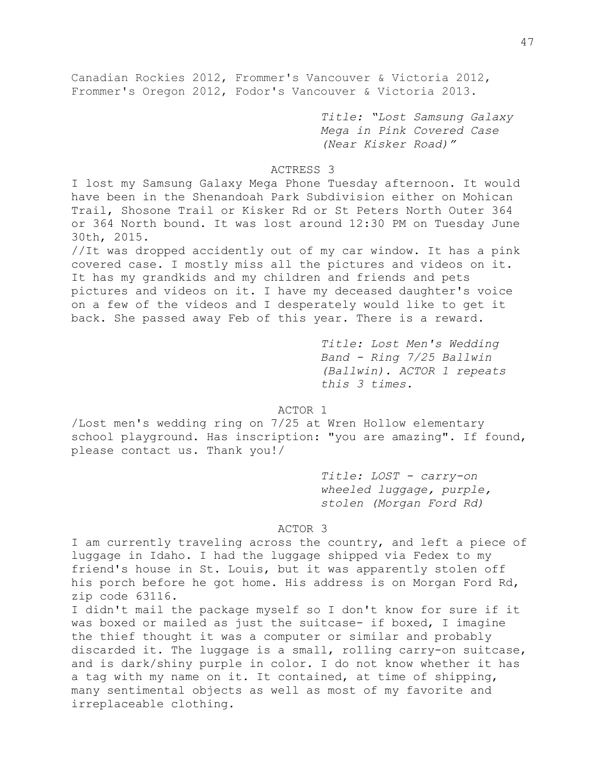Canadian Rockies 2012, Frommer's Vancouver & Victoria 2012, Frommer's Oregon 2012, Fodor's Vancouver & Victoria 2013.

> *Title: "Lost Samsung Galaxy Mega in Pink Covered Case (Near Kisker Road)"*

## ACTRESS 3

I lost my Samsung Galaxy Mega Phone Tuesday afternoon. It would have been in the Shenandoah Park Subdivision either on Mohican Trail, Shosone Trail or Kisker Rd or St Peters North Outer 364 or 364 North bound. It was lost around 12:30 PM on Tuesday June 30th, 2015.

//It was dropped accidently out of my car window. It has a pink covered case. I mostly miss all the pictures and videos on it. It has my grandkids and my children and friends and pets pictures and videos on it. I have my deceased daughter's voice on a few of the videos and I desperately would like to get it back. She passed away Feb of this year. There is a reward.

> *Title: Lost Men's Wedding Band - Ring 7/25 Ballwin (Ballwin). ACTOR 1 repeats this 3 times.*

ACTOR 1

/Lost men's wedding ring on 7/25 at Wren Hollow elementary school playground. Has inscription: "you are amazing". If found, please contact us. Thank you!/

> *Title: LOST - carry-on wheeled luggage, purple, stolen (Morgan Ford Rd)*

## ACTOR 3

I am currently traveling across the country, and left a piece of luggage in Idaho. I had the luggage shipped via Fedex to my friend's house in St. Louis, but it was apparently stolen off his porch before he got home. His address is on Morgan Ford Rd, zip code 63116.

I didn't mail the package myself so I don't know for sure if it was boxed or mailed as just the suitcase- if boxed, I imagine the thief thought it was a computer or similar and probably discarded it. The luggage is a small, rolling carry-on suitcase, and is dark/shiny purple in color. I do not know whether it has a tag with my name on it. It contained, at time of shipping, many sentimental objects as well as most of my favorite and irreplaceable clothing.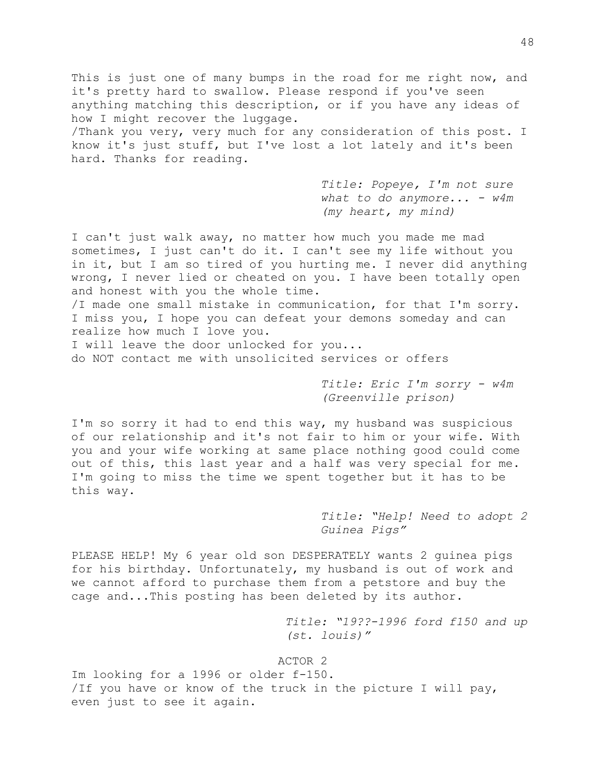This is just one of many bumps in the road for me right now, and it's pretty hard to swallow. Please respond if you've seen anything matching this description, or if you have any ideas of how I might recover the luggage. /Thank you very, very much for any consideration of this post. I know it's just stuff, but I've lost a lot lately and it's been hard. Thanks for reading.

> *Title: Popeye, I'm not sure what to do anymore... - w4m (my heart, my mind)*

I can't just walk away, no matter how much you made me mad sometimes, I just can't do it. I can't see my life without you in it, but I am so tired of you hurting me. I never did anything wrong, I never lied or cheated on you. I have been totally open and honest with you the whole time.

/I made one small mistake in communication, for that I'm sorry. I miss you, I hope you can defeat your demons someday and can realize how much I love you.

I will leave the door unlocked for you... do NOT contact me with unsolicited services or offers

> *Title: Eric I'm sorry - w4m (Greenville prison)*

I'm so sorry it had to end this way, my husband was suspicious of our relationship and it's not fair to him or your wife. With you and your wife working at same place nothing good could come out of this, this last year and a half was very special for me. I'm going to miss the time we spent together but it has to be this way.

> *Title: "Help! Need to adopt 2 Guinea Pigs"*

PLEASE HELP! My 6 year old son DESPERATELY wants 2 guinea pigs for his birthday. Unfortunately, my husband is out of work and we cannot afford to purchase them from a petstore and buy the cage and...This posting has been deleted by its author.

> *Title: "19??-1996 ford f150 and up (st. louis)"*

ACTOR 2

Im looking for a 1996 or older f-150. /If you have or know of the truck in the picture I will pay, even just to see it again.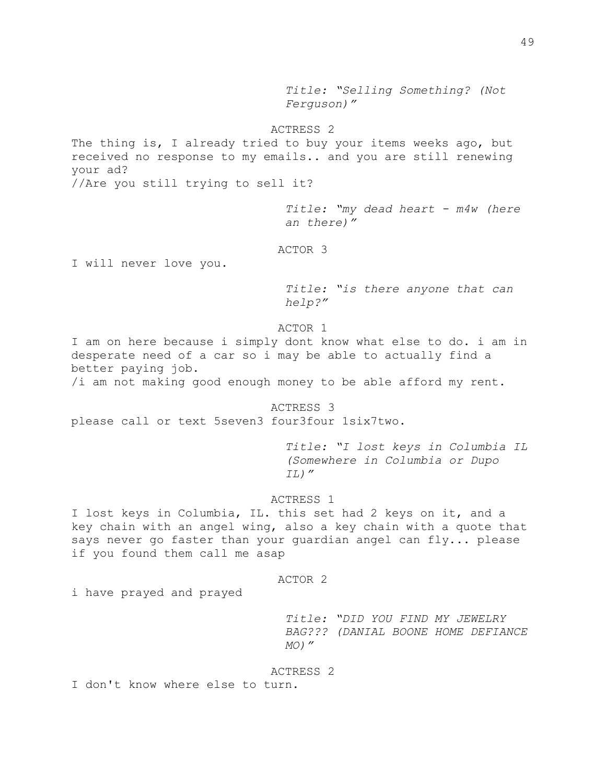*Title: "Selling Something? (Not Ferguson)"*

## ACTRESS 2

The thing is, I already tried to buy your items weeks ago, but received no response to my emails.. and you are still renewing your ad?

//Are you still trying to sell it?

*Title: "my dead heart - m4w (here an there)"*

ACTOR 3

I will never love you.

*Title: "is there anyone that can help?"*

ACTOR 1

I am on here because i simply dont know what else to do. i am in desperate need of a car so i may be able to actually find a better paying job.

/i am not making good enough money to be able afford my rent.

ACTRESS 3 please call or text 5seven3 four3four 1six7two.

> *Title: "I lost keys in Columbia IL (Somewhere in Columbia or Dupo IL)"*

## ACTRESS 1

I lost keys in Columbia, IL. this set had 2 keys on it, and a key chain with an angel wing, also a key chain with a quote that says never go faster than your guardian angel can fly... please if you found them call me asap

## ACTOR 2

i have prayed and prayed

*Title: "DID YOU FIND MY JEWELRY BAG??? (DANIAL BOONE HOME DEFIANCE MO)"*

### ACTRESS 2

I don't know where else to turn.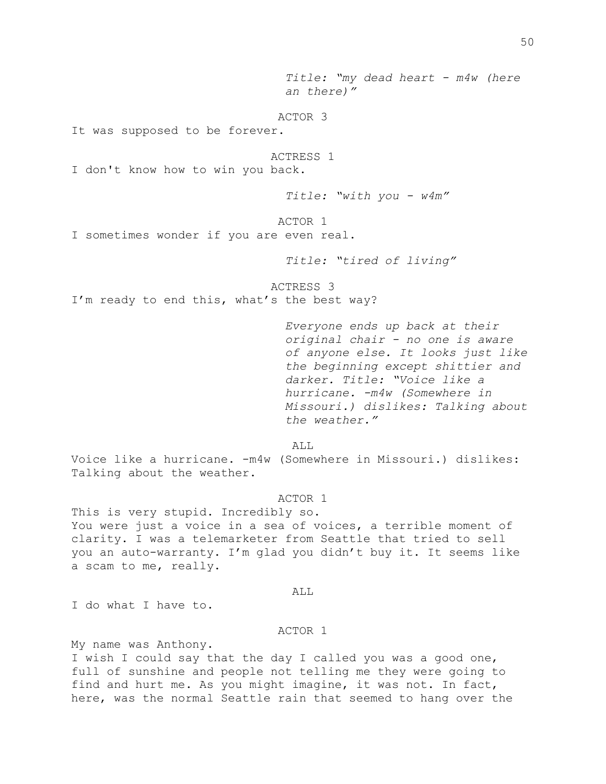*Title: "my dead heart - m4w (here an there)"* ACTOR 3 It was supposed to be forever. ACTRESS 1 I don't know how to win you back. *Title: "with you - w4m"* ACTOR 1 I sometimes wonder if you are even real. *Title: "tired of living"* ACTRESS 3 I'm ready to end this, what's the best way? *Everyone ends up back at their original chair - no one is aware of anyone else. It looks just like the beginning except shittier and darker. Title: "Voice like a hurricane. -m4w (Somewhere in Missouri.) dislikes: Talking about the weather."* ALL Voice like a hurricane. -m4w (Somewhere in Missouri.) dislikes:

## ACTOR 1

This is very stupid. Incredibly so. You were just a voice in a sea of voices, a terrible moment of clarity. I was a telemarketer from Seattle that tried to sell you an auto-warranty. I'm glad you didn't buy it. It seems like a scam to me, really.

```
ALL
```
I do what I have to.

Talking about the weather.

## ACTOR 1

My name was Anthony.

I wish I could say that the day I called you was a good one, full of sunshine and people not telling me they were going to find and hurt me. As you might imagine, it was not. In fact, here, was the normal Seattle rain that seemed to hang over the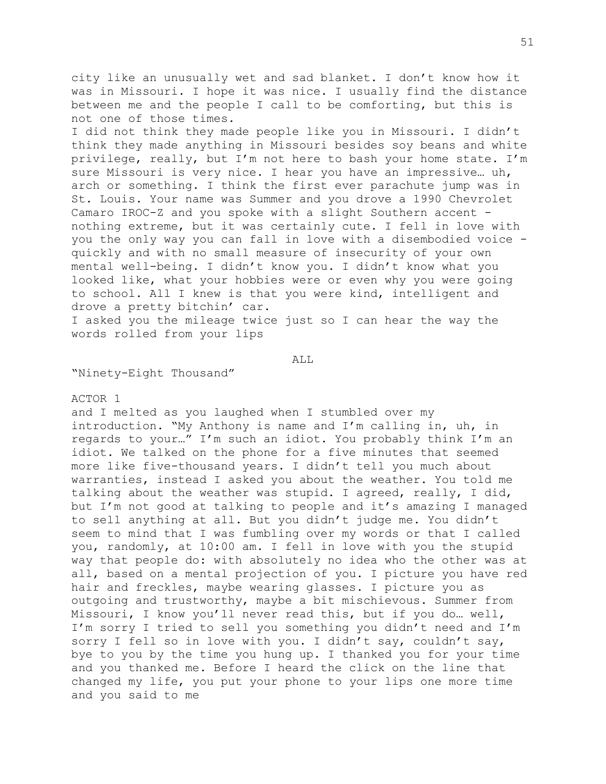city like an unusually wet and sad blanket. I don't know how it was in Missouri. I hope it was nice. I usually find the distance between me and the people I call to be comforting, but this is not one of those times.

I did not think they made people like you in Missouri. I didn't think they made anything in Missouri besides soy beans and white privilege, really, but I'm not here to bash your home state. I'm sure Missouri is very nice. I hear you have an impressive… uh, arch or something. I think the first ever parachute jump was in St. Louis. Your name was Summer and you drove a 1990 Chevrolet Camaro IROC-Z and you spoke with a slight Southern accent nothing extreme, but it was certainly cute. I fell in love with you the only way you can fall in love with a disembodied voice quickly and with no small measure of insecurity of your own mental well-being. I didn't know you. I didn't know what you looked like, what your hobbies were or even why you were going to school. All I knew is that you were kind, intelligent and drove a pretty bitchin' car.

I asked you the mileage twice just so I can hear the way the words rolled from your lips

ALL

"Ninety-Eight Thousand"

## ACTOR 1

and I melted as you laughed when I stumbled over my introduction. "My Anthony is name and I'm calling in, uh, in regards to your…" I'm such an idiot. You probably think I'm an idiot. We talked on the phone for a five minutes that seemed more like five-thousand years. I didn't tell you much about warranties, instead I asked you about the weather. You told me talking about the weather was stupid. I agreed, really, I did, but I'm not good at talking to people and it's amazing I managed to sell anything at all. But you didn't judge me. You didn't seem to mind that I was fumbling over my words or that I called you, randomly, at 10:00 am. I fell in love with you the stupid way that people do: with absolutely no idea who the other was at all, based on a mental projection of you. I picture you have red hair and freckles, maybe wearing glasses. I picture you as outgoing and trustworthy, maybe a bit mischievous. Summer from Missouri, I know you'll never read this, but if you do… well, I'm sorry I tried to sell you something you didn't need and I'm sorry I fell so in love with you. I didn't say, couldn't say, bye to you by the time you hung up. I thanked you for your time and you thanked me. Before I heard the click on the line that changed my life, you put your phone to your lips one more time and you said to me